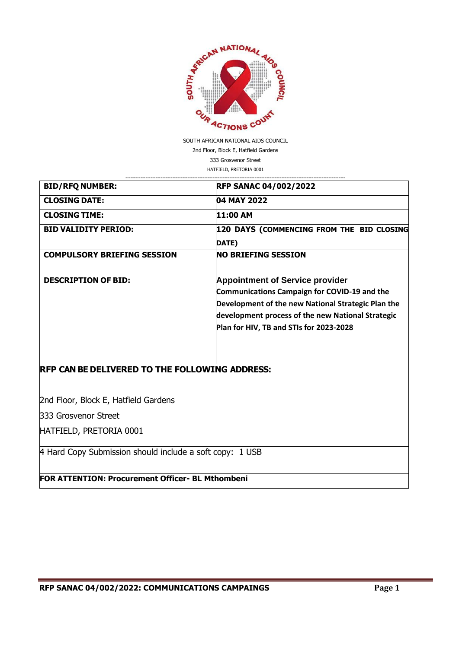

SOUTH AFRICAN NATIONAL AIDS COUNCIL 2nd Floor, Block E, Hatfield Gardens 333 Grosvenor Street HATFIELD, PRETORIA 0001

| <b>BID/RFQ NUMBER:</b>                                       | <b>RFP SANAC 04/002/2022</b>                                                                                                                                                                                                                        |
|--------------------------------------------------------------|-----------------------------------------------------------------------------------------------------------------------------------------------------------------------------------------------------------------------------------------------------|
| <b>CLOSING DATE:</b>                                         | 04 MAY 2022                                                                                                                                                                                                                                         |
| <b>CLOSING TIME:</b>                                         | 11:00 AM                                                                                                                                                                                                                                            |
| <b>BID VALIDITY PERIOD:</b>                                  | 120 DAYS (COMMENCING FROM THE BID CLOSING<br>DATE)                                                                                                                                                                                                  |
| <b>COMPULSORY BRIEFING SESSION</b>                           | <b>NO BRIEFING SESSION</b>                                                                                                                                                                                                                          |
| <b>DESCRIPTION OF BID:</b>                                   | <b>Appointment of Service provider</b><br><b>Communications Campaign for COVID-19 and the</b><br>Development of the new National Strategic Plan the<br>development process of the new National Strategic<br>Plan for HIV, TB and STIs for 2023-2028 |
| <b>RFP CAN BE DELIVERED TO THE FOLLOWING ADDRESS:</b>        |                                                                                                                                                                                                                                                     |
| 2nd Floor, Block E, Hatfield Gardens<br>333 Grosvenor Street |                                                                                                                                                                                                                                                     |
|                                                              |                                                                                                                                                                                                                                                     |

HATFIELD, PRETORIA 0001

4 Hard Copy Submission should include a soft copy: 1 USB

**FOR ATTENTION: Procurement Officer- BL Mthombeni**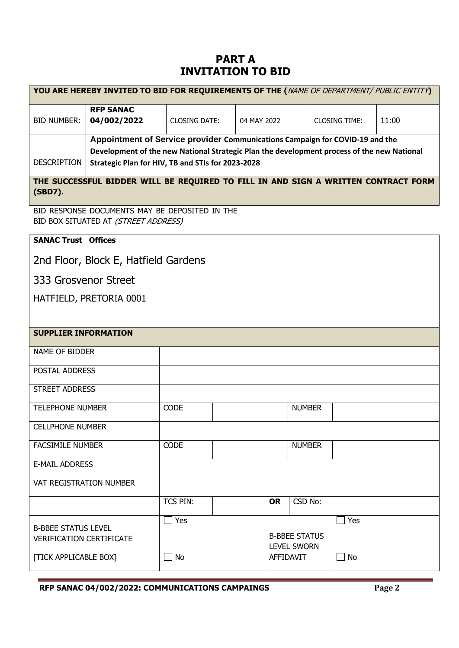# **PART A INVITATION TO BID**

|                                 | YOU ARE HEREBY INVITED TO BID FOR REQUIREMENTS OF THE (NAME OF DEPARTMENT/ PUBLIC ENTITY)  |                      |             |                      |                      |       |  |
|---------------------------------|--------------------------------------------------------------------------------------------|----------------------|-------------|----------------------|----------------------|-------|--|
| <b>BID NUMBER:</b>              | <b>RFP SANAC</b><br>04/002/2022                                                            | <b>CLOSING DATE:</b> | 04 MAY 2022 |                      | <b>CLOSING TIME:</b> | 11:00 |  |
|                                 | Appointment of Service provider Communications Campaign for COVID-19 and the               |                      |             |                      |                      |       |  |
|                                 | Development of the new National Strategic Plan the development process of the new National |                      |             |                      |                      |       |  |
| <b>DESCRIPTION</b>              | Strategic Plan for HIV, TB and STIs for 2023-2028                                          |                      |             |                      |                      |       |  |
| (SBD7).                         | THE SUCCESSFUL BIDDER WILL BE REQUIRED TO FILL IN AND SIGN A WRITTEN CONTRACT FORM         |                      |             |                      |                      |       |  |
|                                 | BID RESPONSE DOCUMENTS MAY BE DEPOSITED IN THE<br>BID BOX SITUATED AT (STREET ADDRESS)     |                      |             |                      |                      |       |  |
| <b>SANAC Trust Offices</b>      |                                                                                            |                      |             |                      |                      |       |  |
|                                 | 2nd Floor, Block E, Hatfield Gardens                                                       |                      |             |                      |                      |       |  |
| 333 Grosvenor Street            |                                                                                            |                      |             |                      |                      |       |  |
|                                 | HATFIELD, PRETORIA 0001                                                                    |                      |             |                      |                      |       |  |
|                                 |                                                                                            |                      |             |                      |                      |       |  |
| <b>SUPPLIER INFORMATION</b>     |                                                                                            |                      |             |                      |                      |       |  |
|                                 |                                                                                            |                      |             |                      |                      |       |  |
| NAME OF BIDDER                  |                                                                                            |                      |             |                      |                      |       |  |
| POSTAL ADDRESS                  |                                                                                            |                      |             |                      |                      |       |  |
| <b>STREET ADDRESS</b>           |                                                                                            |                      |             |                      |                      |       |  |
| <b>TELEPHONE NUMBER</b>         |                                                                                            | <b>CODE</b>          |             | <b>NUMBER</b>        |                      |       |  |
| <b>CELLPHONE NUMBER</b>         |                                                                                            |                      |             |                      |                      |       |  |
| <b>FACSIMILE NUMBER</b>         |                                                                                            | <b>CODE</b>          |             | <b>NUMBER</b>        |                      |       |  |
| <b>E-MAIL ADDRESS</b>           |                                                                                            |                      |             |                      |                      |       |  |
| <b>VAT REGISTRATION NUMBER</b>  |                                                                                            |                      |             |                      |                      |       |  |
|                                 |                                                                                            | <b>TCS PIN:</b>      | <b>OR</b>   | CSD No:              |                      |       |  |
|                                 |                                                                                            | Yes                  |             |                      | Yes                  |       |  |
| <b>B-BBEE STATUS LEVEL</b>      |                                                                                            |                      |             | <b>B-BBEE STATUS</b> |                      |       |  |
| <b>VERIFICATION CERTIFICATE</b> |                                                                                            |                      |             | <b>LEVEL SWORN</b>   |                      |       |  |
| [TICK APPLICABLE BOX]           |                                                                                            | No                   | AFFIDAVIT   |                      | No                   |       |  |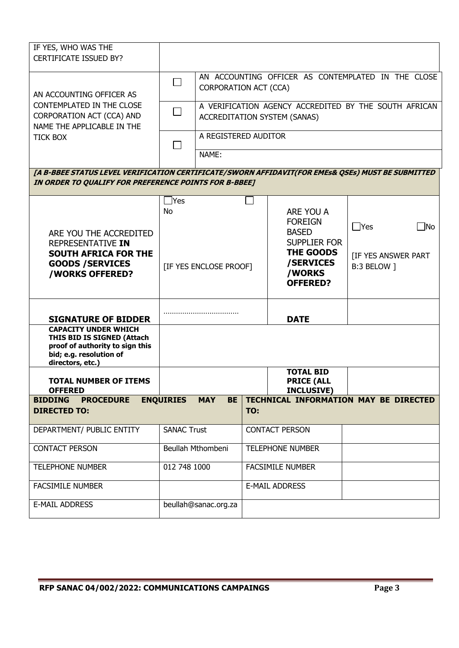| IF YES, WHO WAS THE<br><b>CERTIFICATE ISSUED BY?</b>                                                                                                       |                        |                                                                             |                         |                                                                                              |                                           |  |
|------------------------------------------------------------------------------------------------------------------------------------------------------------|------------------------|-----------------------------------------------------------------------------|-------------------------|----------------------------------------------------------------------------------------------|-------------------------------------------|--|
| AN ACCOUNTING OFFICER AS                                                                                                                                   |                        | AN ACCOUNTING OFFICER AS CONTEMPLATED IN THE CLOSE<br>CORPORATION ACT (CCA) |                         |                                                                                              |                                           |  |
| CONTEMPLATED IN THE CLOSE<br>CORPORATION ACT (CCA) AND<br>NAME THE APPLICABLE IN THE                                                                       | $\Box$                 |                                                                             |                         | A VERIFICATION AGENCY ACCREDITED BY THE SOUTH AFRICAN<br><b>ACCREDITATION SYSTEM (SANAS)</b> |                                           |  |
| <b>TICK BOX</b>                                                                                                                                            |                        | A REGISTERED AUDITOR<br>NAME:                                               |                         |                                                                                              |                                           |  |
| [A B-BBEE STATUS LEVEL VERIFICATION CERTIFICATE/SWORN AFFIDAVIT(FOR EMEs& QSEs) MUST BE SUBMITTED<br>IN ORDER TO QUALIFY FOR PREFERENCE POINTS FOR B-BBEE] |                        |                                                                             |                         |                                                                                              |                                           |  |
|                                                                                                                                                            | ้∣Yes                  |                                                                             |                         |                                                                                              |                                           |  |
| ARE YOU THE ACCREDITED<br>REPRESENTATIVE IN                                                                                                                | <b>No</b>              |                                                                             |                         | ARE YOU A<br><b>FOREIGN</b><br><b>BASED</b><br><b>SUPPLIER FOR</b>                           | $\Box$ Yes<br><b>No</b>                   |  |
| <b>SOUTH AFRICA FOR THE</b><br><b>GOODS / SERVICES</b><br>/WORKS OFFERED?                                                                                  | [IF YES ENCLOSE PROOF] |                                                                             |                         | <b>THE GOODS</b><br>/SERVICES<br>/WORKS<br><b>OFFERED?</b>                                   | <b>[IF YES ANSWER PART</b><br>B:3 BELOW ] |  |
| <b>SIGNATURE OF BIDDER</b>                                                                                                                                 |                        |                                                                             |                         | <b>DATE</b>                                                                                  |                                           |  |
| <b>CAPACITY UNDER WHICH</b><br>THIS BID IS SIGNED (Attach<br>proof of authority to sign this<br>bid; e.g. resolution of<br>directors, etc.)                |                        |                                                                             |                         |                                                                                              |                                           |  |
| <b>TOTAL NUMBER OF ITEMS</b><br><b>OFFERED</b>                                                                                                             |                        |                                                                             |                         | <b>TOTAL BID</b><br><b>PRICE (ALL</b><br><b>INCLUSIVE)</b>                                   |                                           |  |
| <b>BIDDING</b><br><b>PROCEDURE</b>                                                                                                                         | <b>ENQUIRIES</b>       | <b>MAY</b><br><b>BE</b>                                                     |                         |                                                                                              | TECHNICAL INFORMATION MAY BE DIRECTED     |  |
| <b>DIRECTED TO:</b>                                                                                                                                        |                        |                                                                             | TO:                     |                                                                                              |                                           |  |
| DEPARTMENT/ PUBLIC ENTITY                                                                                                                                  | <b>SANAC Trust</b>     |                                                                             |                         | <b>CONTACT PERSON</b>                                                                        |                                           |  |
| <b>CONTACT PERSON</b>                                                                                                                                      | Beullah Mthombeni      |                                                                             | <b>TELEPHONE NUMBER</b> |                                                                                              |                                           |  |
| <b>TELEPHONE NUMBER</b>                                                                                                                                    | 012 748 1000           |                                                                             |                         | <b>FACSIMILE NUMBER</b>                                                                      |                                           |  |
| <b>FACSIMILE NUMBER</b>                                                                                                                                    |                        |                                                                             |                         | <b>E-MAIL ADDRESS</b>                                                                        |                                           |  |
| <b>E-MAIL ADDRESS</b>                                                                                                                                      |                        | beullah@sanac.org.za                                                        |                         |                                                                                              |                                           |  |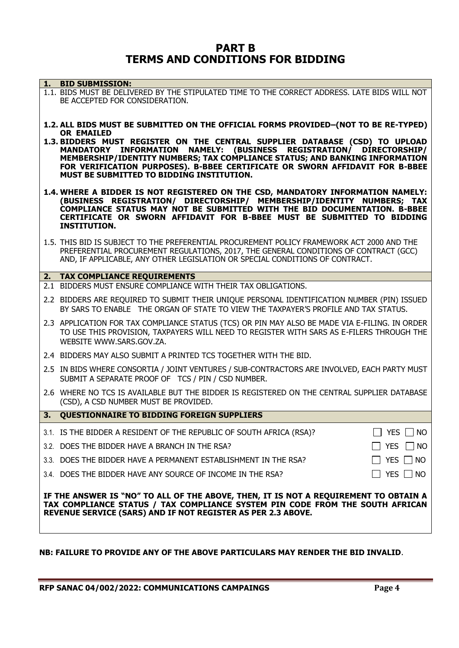## **PART B TERMS AND CONDITIONS FOR BIDDING**

|    | 1. BID SUBMISSION:                                                                                                                                                                                                                                                                                                                                                                  |
|----|-------------------------------------------------------------------------------------------------------------------------------------------------------------------------------------------------------------------------------------------------------------------------------------------------------------------------------------------------------------------------------------|
|    | 1.1. BIDS MUST BE DELIVERED BY THE STIPULATED TIME TO THE CORRECT ADDRESS. LATE BIDS WILL NOT<br>BE ACCEPTED FOR CONSIDERATION.                                                                                                                                                                                                                                                     |
|    | 1.2. ALL BIDS MUST BE SUBMITTED ON THE OFFICIAL FORMS PROVIDED-(NOT TO BE RE-TYPED)                                                                                                                                                                                                                                                                                                 |
|    | <b>OR EMAILED</b><br>1.3. BIDDERS MUST REGISTER ON THE CENTRAL SUPPLIER DATABASE (CSD) TO UPLOAD<br>MANDATORY INFORMATION NAMELY: (BUSINESS REGISTRATION/ DIRECTORSHIP/<br>MEMBERSHIP/IDENTITY NUMBERS; TAX COMPLIANCE STATUS; AND BANKING INFORMATION<br>FOR VERIFICATION PURPOSES). B-BBEE CERTIFICATE OR SWORN AFFIDAVIT FOR B-BBEE<br>MUST BE SUBMITTED TO BIDDING INSTITUTION. |
|    | 1.4. WHERE A BIDDER IS NOT REGISTERED ON THE CSD, MANDATORY INFORMATION NAMELY:<br>(BUSINESS REGISTRATION/ DIRECTORSHIP/ MEMBERSHIP/IDENTITY NUMBERS; TAX<br>COMPLIANCE STATUS MAY NOT BE SUBMITTED WITH THE BID DOCUMENTATION. B-BBEE<br>CERTIFICATE OR SWORN AFFIDAVIT FOR B-BBEE MUST BE SUBMITTED TO BIDDING<br><b>INSTITUTION.</b>                                             |
|    | 1.5. THIS BID IS SUBJECT TO THE PREFERENTIAL PROCUREMENT POLICY FRAMEWORK ACT 2000 AND THE<br>PREFERENTIAL PROCUREMENT REGULATIONS, 2017, THE GENERAL CONDITIONS OF CONTRACT (GCC)<br>AND, IF APPLICABLE, ANY OTHER LEGISLATION OR SPECIAL CONDITIONS OF CONTRACT.                                                                                                                  |
|    | 2. TAX COMPLIANCE REQUIREMENTS                                                                                                                                                                                                                                                                                                                                                      |
|    | 2.1 BIDDERS MUST ENSURE COMPLIANCE WITH THEIR TAX OBLIGATIONS.                                                                                                                                                                                                                                                                                                                      |
|    | 2.2 BIDDERS ARE REQUIRED TO SUBMIT THEIR UNIQUE PERSONAL IDENTIFICATION NUMBER (PIN) ISSUED<br>BY SARS TO ENABLE THE ORGAN OF STATE TO VIEW THE TAXPAYER'S PROFILE AND TAX STATUS.                                                                                                                                                                                                  |
|    | 2.3 APPLICATION FOR TAX COMPLIANCE STATUS (TCS) OR PIN MAY ALSO BE MADE VIA E-FILING. IN ORDER<br>TO USE THIS PROVISION, TAXPAYERS WILL NEED TO REGISTER WITH SARS AS E-FILERS THROUGH THE<br>WEBSITE WWW.SARS.GOV.ZA.                                                                                                                                                              |
|    | 2.4 BIDDERS MAY ALSO SUBMIT A PRINTED TCS TOGETHER WITH THE BID.                                                                                                                                                                                                                                                                                                                    |
|    | 2.5 IN BIDS WHERE CONSORTIA / JOINT VENTURES / SUB-CONTRACTORS ARE INVOLVED, EACH PARTY MUST<br>SUBMIT A SEPARATE PROOF OF TCS / PIN / CSD NUMBER.                                                                                                                                                                                                                                  |
|    | 2.6 WHERE NO TCS IS AVAILABLE BUT THE BIDDER IS REGISTERED ON THE CENTRAL SUPPLIER DATABASE<br>(CSD), A CSD NUMBER MUST BE PROVIDED.                                                                                                                                                                                                                                                |
| 3. | <b>QUESTIONNAIRE TO BIDDING FOREIGN SUPPLIERS</b>                                                                                                                                                                                                                                                                                                                                   |
|    | 3.1. IS THE BIDDER A RESIDENT OF THE REPUBLIC OF SOUTH AFRICA (RSA)?<br>YES $\Box$ NO                                                                                                                                                                                                                                                                                               |
|    | 3.2. DOES THE BIDDER HAVE A BRANCH IN THE RSA?<br>YES $\Box$ NO                                                                                                                                                                                                                                                                                                                     |
|    | YES $\Box$ NO<br>3.3. DOES THE BIDDER HAVE A PERMANENT ESTABLISHMENT IN THE RSA?                                                                                                                                                                                                                                                                                                    |
|    | YES $\Box$ NO<br>3.4. DOES THE BIDDER HAVE ANY SOURCE OF INCOME IN THE RSA?                                                                                                                                                                                                                                                                                                         |
|    | IF THE ANSWER IS "NO" TO ALL OF THE ABOVE, THEN, IT IS NOT A REQUIREMENT TO OBTAIN A<br>TAX COMPLIANCE STATUS / TAX COMPLIANCE SYSTEM PIN CODE FROM THE SOUTH AFRICAN<br>REVENUE SERVICE (SARS) AND IF NOT REGISTER AS PER 2.3 ABOVE.                                                                                                                                               |

## **NB: FAILURE TO PROVIDE ANY OF THE ABOVE PARTICULARS MAY RENDER THE BID INVALID**.

**RFP SANAC 04/002/2022: COMMUNICATIONS CAMPAINGS Page 4**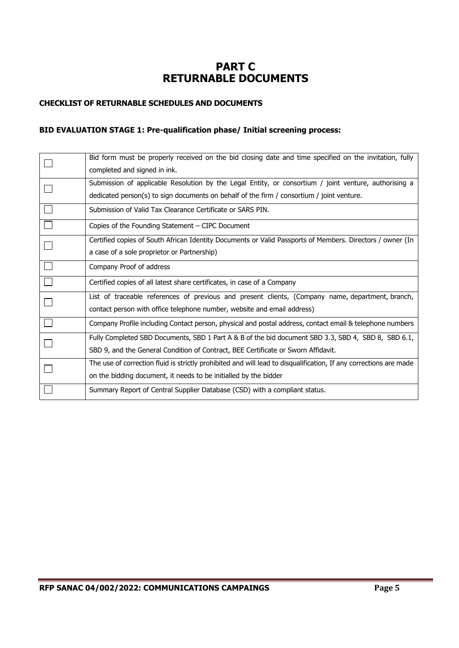# **PART C RETURNABLE DOCUMENTS**

#### **CHECKLIST OF RETURNABLE SCHEDULES AND DOCUMENTS**

#### **BID EVALUATION STAGE 1: Pre-qualification phase/ Initial screening process:**

| Bid form must be properly received on the bid closing date and time specified on the invitation, fully            |
|-------------------------------------------------------------------------------------------------------------------|
| completed and signed in ink.                                                                                      |
| Submission of applicable Resolution by the Legal Entity, or consortium / joint venture, authorising a             |
| dedicated person(s) to sign documents on behalf of the firm / consortium / joint venture.                         |
| Submission of Valid Tax Clearance Certificate or SARS PIN.                                                        |
| Copies of the Founding Statement - CIPC Document                                                                  |
| Certified copies of South African Identity Documents or Valid Passports of Members. Directors / owner (In         |
| a case of a sole proprietor or Partnership)                                                                       |
| Company Proof of address                                                                                          |
| Certified copies of all latest share certificates, in case of a Company                                           |
| List of traceable references of previous and present clients, (Company name, department, branch,                  |
| contact person with office telephone number, website and email address)                                           |
| Company Profile including Contact person, physical and postal address, contact email & telephone numbers          |
| Fully Completed SBD Documents, SBD 1 Part A & B of the bid document SBD 3.3, SBD 4, SBD 8, SBD 6.1,               |
| SBD 9, and the General Condition of Contract, BEE Certificate or Sworn Affidavit.                                 |
| The use of correction fluid is strictly prohibited and will lead to disqualification, If any corrections are made |
| on the bidding document, it needs to be initialled by the bidder                                                  |
| Summary Report of Central Supplier Database (CSD) with a compliant status.                                        |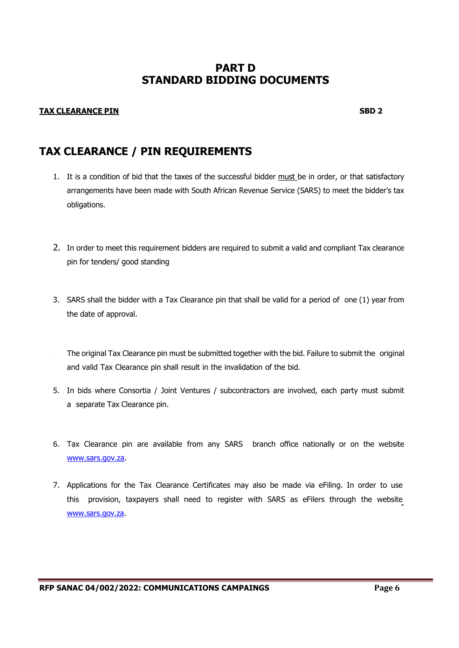# **PART D STANDARD BIDDING DOCUMENTS**

#### **TAX CLEARANCE PIN SBD 2**

# **TAX CLEARANCE / PIN REQUIREMENTS**

- 1. It is a condition of bid that the taxes of the successful bidder must be in order, or that satisfactory arrangements have been made with South African Revenue Service (SARS) to meet the bidder's tax obligations.
- 2. In order to meet this requirement bidders are required to submit a valid and compliant Tax clearance pin for tenders/ good standing
- 3. SARS shall the bidder with a Tax Clearance pin that shall be valid for a period of one (1) year from the date of approval.
- The original Tax Clearance pin must be submitted together with the bid. Failure to submit the original and valid Tax Clearance pin shall result in the invalidation of the bid.
- 5. In bids where Consortia / Joint Ventures / subcontractors are involved, each party must submit a separate Tax Clearance pin.
- 6. Tax Clearance pin are available from any SARS branch office nationally or on the website [www.sars.gov.za.](http://www.sars.gov.za/)
- 7. Applications for the Tax Clearance Certificates may also be made via eFiling. In order to use this provision, taxpayers shall need to register with SARS as eFilers through the website [www.sars.gov.za.](http://www.sars.gov.za/)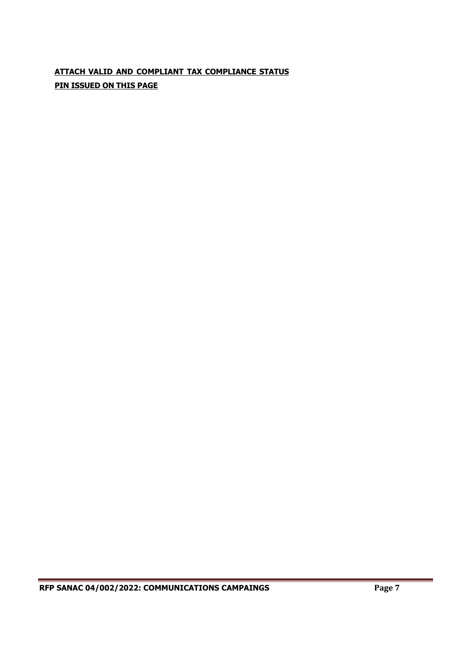# **ATTACH VALID AND COMPLIANT TAX COMPLIANCE STATUS PIN ISSUED ON THIS PAGE**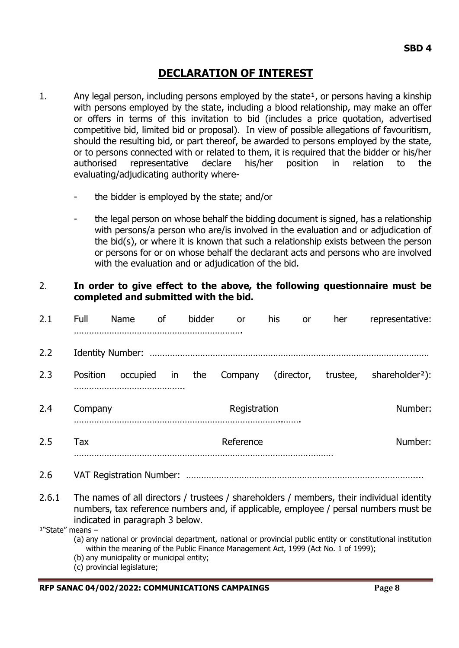# **DECLARATION OF INTEREST**

- 1. Any legal person, including persons employed by the state<sup>1</sup>, or persons having a kinship with persons employed by the state, including a blood relationship, may make an offer or offers in terms of this invitation to bid (includes a price quotation, advertised competitive bid, limited bid or proposal). In view of possible allegations of favouritism, should the resulting bid, or part thereof, be awarded to persons employed by the state, or to persons connected with or related to them, it is required that the bidder or his/her authorised representative declare his/her position in relation to the evaluating/adjudicating authority where-
	- the bidder is employed by the state; and/or
	- the legal person on whose behalf the bidding document is signed, has a relationship with persons/a person who are/is involved in the evaluation and or adjudication of the bid(s), or where it is known that such a relationship exists between the person or persons for or on whose behalf the declarant acts and persons who are involved with the evaluation and or adjudication of the bid.

## 2. **In order to give effect to the above, the following questionnaire must be completed and submitted with the bid.**

| 2.1                          | Full            | Name                                      | 0f | bidder | or                                                                                 | his | <b>or</b>  | her      | representative:                                                                                                                                                                   |
|------------------------------|-----------------|-------------------------------------------|----|--------|------------------------------------------------------------------------------------|-----|------------|----------|-----------------------------------------------------------------------------------------------------------------------------------------------------------------------------------|
| 2.2                          |                 |                                           |    |        |                                                                                    |     |            |          |                                                                                                                                                                                   |
| 2.3                          | <b>Position</b> | occupied                                  | in | the    | Company                                                                            |     | (director, | trustee, | shareholder <sup>2</sup> ):                                                                                                                                                       |
| 2.4                          | Company         |                                           |    |        | Registration                                                                       |     |            |          | Number:                                                                                                                                                                           |
| 2.5                          | <b>Tax</b>      |                                           |    |        | Reference                                                                          |     |            |          | Number:                                                                                                                                                                           |
| 2.6                          |                 |                                           |    |        |                                                                                    |     |            |          |                                                                                                                                                                                   |
| 2.6.1                        |                 | indicated in paragraph 3 below.           |    |        |                                                                                    |     |            |          | The names of all directors / trustees / shareholders / members, their individual identity<br>numbers, tax reference numbers and, if applicable, employee / persal numbers must be |
| <sup>1</sup> "State" means - |                 |                                           |    |        |                                                                                    |     |            |          |                                                                                                                                                                                   |
|                              |                 | (b) any municipality or municipal entity; |    |        | within the meaning of the Public Finance Management Act, 1999 (Act No. 1 of 1999); |     |            |          | (a) any national or provincial department, national or provincial public entity or constitutional institution                                                                     |

(c) provincial legislature;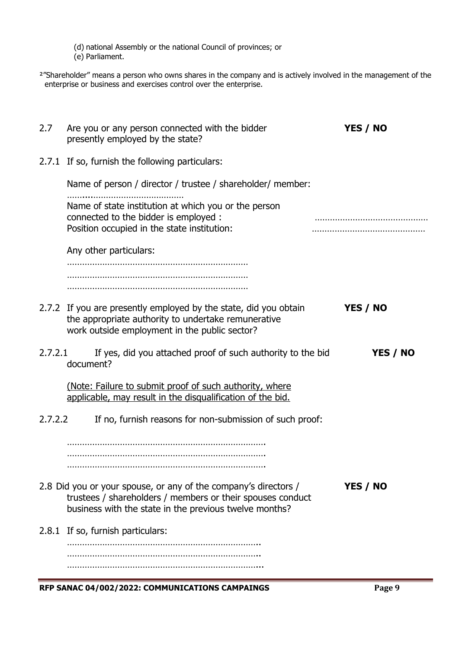(d) national Assembly or the national Council of provinces; or

(e) Parliament.

²"Shareholder" means a person who owns shares in the company and is actively involved in the management of the enterprise or business and exercises control over the enterprise.

| 2.7     | Are you or any person connected with the bidder<br>presently employed by the state?                                                                                                     | YES / NO                                  |
|---------|-----------------------------------------------------------------------------------------------------------------------------------------------------------------------------------------|-------------------------------------------|
|         | 2.7.1 If so, furnish the following particulars:                                                                                                                                         |                                           |
|         | Name of person / director / trustee / shareholder/ member:                                                                                                                              |                                           |
|         | Name of state institution at which you or the person<br>connected to the bidder is employed :<br>Position occupied in the state institution:                                            |                                           |
|         | Any other particulars:                                                                                                                                                                  |                                           |
|         | 2.7.2 If you are presently employed by the state, did you obtain<br>the appropriate authority to undertake remunerative<br>work outside employment in the public sector?                | YES / NO                                  |
| 2.7.2.1 | If yes, did you attached proof of such authority to the bid<br>document?                                                                                                                | YES / NO                                  |
|         | (Note: Failure to submit proof of such authority, where<br>applicable, may result in the disqualification of the bid.                                                                   |                                           |
| 2.7.2.2 | If no, furnish reasons for non-submission of such proof:                                                                                                                                |                                           |
|         |                                                                                                                                                                                         |                                           |
|         | 2.8 Did you or your spouse, or any of the company's directors /<br>trustees / shareholders / members or their spouses conduct<br>business with the state in the previous twelve months? | YES / NO                                  |
|         | 2.8.1 If so, furnish particulars:                                                                                                                                                       |                                           |
|         |                                                                                                                                                                                         |                                           |
|         | DED CANAC 04/002/2022: COMMINICATIONS CAMDAINGS                                                                                                                                         | $\mathbf{D}_{\mathbf{0}}$ of $\mathbf{0}$ |

**RFP SANAC 04/002/2022: COMMUNICATIONS CAMPAINGS Page 9**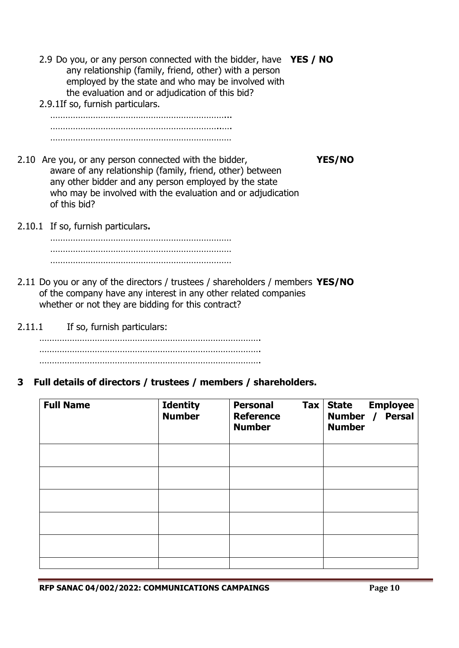- 2.9 Do you, or any person connected with the bidder, have **YES / NO** any relationship (family, friend, other) with a person employed by the state and who may be involved with the evaluation and or adjudication of this bid?
- 2.9.1If so, furnish particulars.

……………………………………………………………... …………………………………………………………..…. ………………………………………………………………

- 2.10 Are you, or any person connected with the bidder, **YES/NO** aware of any relationship (family, friend, other) between any other bidder and any person employed by the state who may be involved with the evaluation and or adjudication of this bid?
- 2.10.1 If so, furnish particulars**.**

……………………………………………………………… ……………………………………………………………… ………………………………………………………………

- 2.11 Do you or any of the directors / trustees / shareholders / members **YES/NO** of the company have any interest in any other related companies whether or not they are bidding for this contract?
- 2.11.1 If so, furnish particulars:

……………………………………………………………………………. ……………………………………………………………………………. …………………………………………………………………………….

**3 Full details of directors / trustees / members / shareholders.**

| <b>Full Name</b> | <b>Identity</b><br><b>Number</b> | <b>Personal</b><br>$\mathsf{Tax}$<br><b>Reference</b><br><b>Number</b> | State Employee<br>Number / Persal<br><b>Number</b> |
|------------------|----------------------------------|------------------------------------------------------------------------|----------------------------------------------------|
|                  |                                  |                                                                        |                                                    |
|                  |                                  |                                                                        |                                                    |
|                  |                                  |                                                                        |                                                    |
|                  |                                  |                                                                        |                                                    |
|                  |                                  |                                                                        |                                                    |
|                  |                                  |                                                                        |                                                    |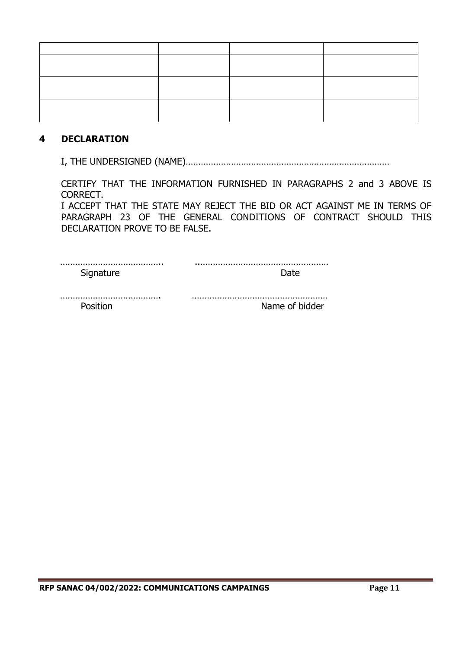## **4 DECLARATION**

I, THE UNDERSIGNED (NAME)………………………………………………………………………

CERTIFY THAT THE INFORMATION FURNISHED IN PARAGRAPHS 2 and 3 ABOVE IS CORRECT.

I ACCEPT THAT THE STATE MAY REJECT THE BID OR ACT AGAINST ME IN TERMS OF PARAGRAPH 23 OF THE GENERAL CONDITIONS OF CONTRACT SHOULD THIS DECLARATION PROVE TO BE FALSE.

| nn- |  |
|-----|--|

| Position | Name of bidder |
|----------|----------------|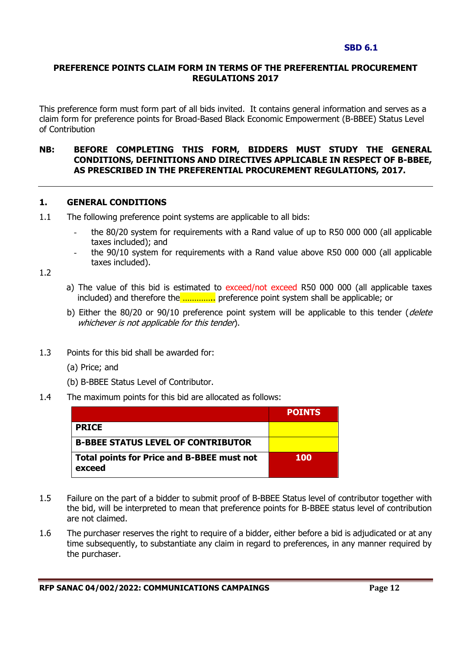#### **SBD 6.1**

#### **PREFERENCE POINTS CLAIM FORM IN TERMS OF THE PREFERENTIAL PROCUREMENT REGULATIONS 2017**

This preference form must form part of all bids invited. It contains general information and serves as a claim form for preference points for Broad-Based Black Economic Empowerment (B-BBEE) Status Level of Contribution

#### **NB: BEFORE COMPLETING THIS FORM, BIDDERS MUST STUDY THE GENERAL CONDITIONS, DEFINITIONS AND DIRECTIVES APPLICABLE IN RESPECT OF B-BBEE, AS PRESCRIBED IN THE PREFERENTIAL PROCUREMENT REGULATIONS, 2017.**

#### **1. GENERAL CONDITIONS**

- 1.1 The following preference point systems are applicable to all bids:
	- the 80/20 system for requirements with a Rand value of up to R50 000 000 (all applicable taxes included); and
	- the 90/10 system for requirements with a Rand value above R50 000 000 (all applicable taxes included).

1.2

- a) The value of this bid is estimated to exceed/not exceed R50 000 000 (all applicable taxes included) and therefore the ………….. preference point system shall be applicable; or
- b) Either the 80/20 or 90/10 preference point system will be applicable to this tender (delete whichever is not applicable for this tender).
- 1.3 Points for this bid shall be awarded for:
	- (a) Price; and
	- (b) B-BBEE Status Level of Contributor.
- 1.4 The maximum points for this bid are allocated as follows:

|                                                             | <b>POINTS</b> |
|-------------------------------------------------------------|---------------|
| <b>PRICE</b>                                                |               |
| <b>B-BBEE STATUS LEVEL OF CONTRIBUTOR</b>                   |               |
| <b>Total points for Price and B-BBEE must not</b><br>exceed | <b>100</b>    |

- 1.5 Failure on the part of a bidder to submit proof of B-BBEE Status level of contributor together with the bid, will be interpreted to mean that preference points for B-BBEE status level of contribution are not claimed.
- 1.6 The purchaser reserves the right to require of a bidder, either before a bid is adjudicated or at any time subsequently, to substantiate any claim in regard to preferences, in any manner required by the purchaser.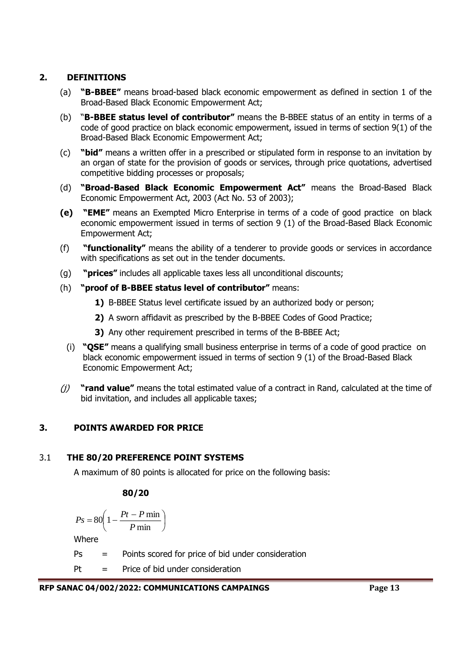## **2. DEFINITIONS**

- (a) **"B-BBEE"** means broad-based black economic empowerment as defined in section 1 of the Broad-Based Black Economic Empowerment Act;
- (b) "**B-BBEE status level of contributor"** means the B-BBEE status of an entity in terms of a code of good practice on black economic empowerment, issued in terms of section 9(1) of the Broad-Based Black Economic Empowerment Act;
- (c) **"bid"** means a written offer in a prescribed or stipulated form in response to an invitation by an organ of state for the provision of goods or services, through price quotations, advertised competitive bidding processes or proposals;
- (d) **"Broad-Based Black Economic Empowerment Act"** means the Broad-Based Black Economic Empowerment Act, 2003 (Act No. 53 of 2003);
- **(e) "EME"** means an Exempted Micro Enterprise in terms of a code of good practice on black economic empowerment issued in terms of section 9 (1) of the Broad-Based Black Economic Empowerment Act;
- (f) **"functionality"** means the ability of a tenderer to provide goods or services in accordance with specifications as set out in the tender documents.
- (g) **"prices"** includes all applicable taxes less all unconditional discounts;
- (h) **"proof of B-BBEE status level of contributor"** means:
	- **1)** B-BBEE Status level certificate issued by an authorized body or person;
	- **2)** A sworn affidavit as prescribed by the B-BBEE Codes of Good Practice;
	- **3)** Any other requirement prescribed in terms of the B-BBEE Act;
	- (i) **"QSE"** means a qualifying small business enterprise in terms of a code of good practice on black economic empowerment issued in terms of section 9 (1) of the Broad-Based Black Economic Empowerment Act;
- (j) **"rand value"** means the total estimated value of a contract in Rand, calculated at the time of bid invitation, and includes all applicable taxes;

## **3. POINTS AWARDED FOR PRICE**

## 3.1 **THE 80/20 PREFERENCE POINT SYSTEMS**

A maximum of 80 points is allocated for price on the following basis:

## **80/20**

$$
Ps = 80 \left( 1 - \frac{Pt - P \min}{P \min} \right)
$$

Where

- Ps = Points scored for price of bid under consideration
- $Pt =$  Price of bid under consideration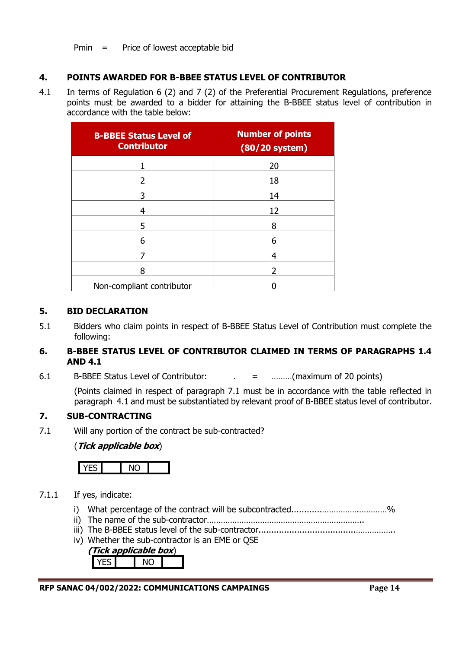Pmin = Price of lowest acceptable bid

## **4. POINTS AWARDED FOR B-BBEE STATUS LEVEL OF CONTRIBUTOR**

4.1 In terms of Regulation 6 (2) and 7 (2) of the Preferential Procurement Regulations, preference points must be awarded to a bidder for attaining the B-BBEE status level of contribution in accordance with the table below:

| <b>B-BBEE Status Level of</b><br><b>Contributor</b> | <b>Number of points</b><br>$(80/20$ system) |  |  |  |  |
|-----------------------------------------------------|---------------------------------------------|--|--|--|--|
|                                                     | 20                                          |  |  |  |  |
| 2                                                   | 18                                          |  |  |  |  |
| 3                                                   | 14                                          |  |  |  |  |
| 4                                                   | 12                                          |  |  |  |  |
| 5                                                   | 8                                           |  |  |  |  |
| 6                                                   | 6                                           |  |  |  |  |
|                                                     | 4                                           |  |  |  |  |
| 8                                                   | 2                                           |  |  |  |  |
| Non-compliant contributor                           |                                             |  |  |  |  |

#### **5. BID DECLARATION**

5.1 Bidders who claim points in respect of B-BBEE Status Level of Contribution must complete the following:

#### **6. B-BBEE STATUS LEVEL OF CONTRIBUTOR CLAIMED IN TERMS OF PARAGRAPHS 1.4 AND 4.1**

6.1 B-BBEE Status Level of Contributor: . = ………(maximum of 20 points)

(Points claimed in respect of paragraph 7.1 must be in accordance with the table reflected in paragraph 4.1 and must be substantiated by relevant proof of B-BBEE status level of contributor.

## **7. SUB-CONTRACTING**

7.1 Will any portion of the contract be sub-contracted?

## (**Tick applicable box**)



## 7.1.1 If yes, indicate:

- i) What percentage of the contract will be subcontracted............…………….…………%
- ii) The name of the sub-contractor…………………………………………………………..
- iii) The B-BBEE status level of the sub-contractor......................................……………..
- iv) Whether the sub-contractor is an EME or QSE

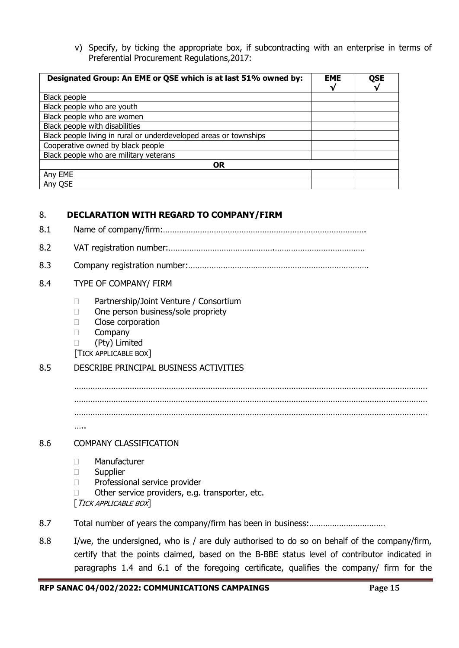v) Specify, by ticking the appropriate box, if subcontracting with an enterprise in terms of Preferential Procurement Regulations,2017:

| Designated Group: An EME or QSE which is at last 51% owned by:    | <b>EME</b> | <b>QSE</b><br>V |
|-------------------------------------------------------------------|------------|-----------------|
| Black people                                                      |            |                 |
| Black people who are youth                                        |            |                 |
| Black people who are women                                        |            |                 |
| Black people with disabilities                                    |            |                 |
| Black people living in rural or underdeveloped areas or townships |            |                 |
| Cooperative owned by black people                                 |            |                 |
| Black people who are military veterans                            |            |                 |
| <b>OR</b>                                                         |            |                 |
| Any EME                                                           |            |                 |
| Any QSE                                                           |            |                 |

## 8. **DECLARATION WITH REGARD TO COMPANY/FIRM**

- 8.1 Name of company/firm:…………………………………………………………………………….
- 8.2 VAT registration number:……………………………………….…………………………………
- 8.3 Company registration number:…………….……………………….…………………………….

#### 8.4 TYPE OF COMPANY/ FIRM

- □ Partnership/Joint Venture / Consortium
- □ One person business/sole propriety
- **Close corporation**
- **Company**
- (Pty) Limited
- [TICK APPLICABLE BOX]

## 8.5 DESCRIBE PRINCIPAL BUSINESS ACTIVITIES

……………………………………………………………………………………………………………………………………… ……………………………………………………………………………………………………………………………………… ……………………………………………………………………………………………………………………………………… …..

#### 8.6 COMPANY CLASSIFICATION

- Manufacturer
- **Supplier**
- D Professional service provider
- $\Box$  Other service providers, e.g. transporter, etc.
- [TICK APPLICABLE BOX]
- 8.7 Total number of years the company/firm has been in business:……………………………
- 8.8 I/we, the undersigned, who is / are duly authorised to do so on behalf of the company/firm, certify that the points claimed, based on the B-BBE status level of contributor indicated in paragraphs 1.4 and 6.1 of the foregoing certificate, qualifies the company/ firm for the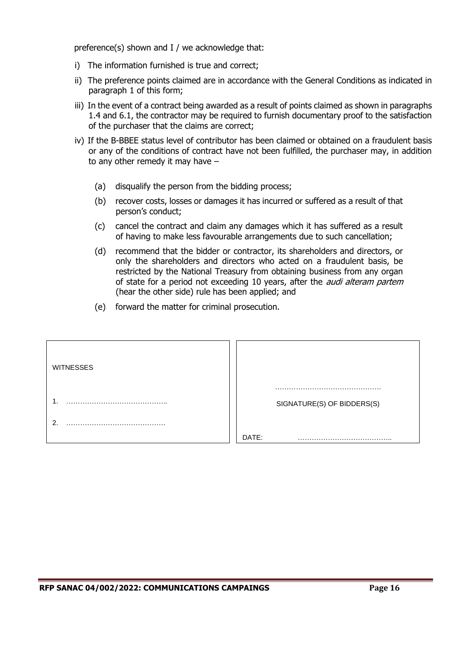preference(s) shown and I / we acknowledge that:

- i) The information furnished is true and correct;
- ii) The preference points claimed are in accordance with the General Conditions as indicated in paragraph 1 of this form;
- iii) In the event of a contract being awarded as a result of points claimed as shown in paragraphs 1.4 and 6.1, the contractor may be required to furnish documentary proof to the satisfaction of the purchaser that the claims are correct;
- iv) If the B-BBEE status level of contributor has been claimed or obtained on a fraudulent basis or any of the conditions of contract have not been fulfilled, the purchaser may, in addition to any other remedy it may have –
	- (a) disqualify the person from the bidding process;
	- (b) recover costs, losses or damages it has incurred or suffered as a result of that person's conduct;
	- (c) cancel the contract and claim any damages which it has suffered as a result of having to make less favourable arrangements due to such cancellation;
	- (d) recommend that the bidder or contractor, its shareholders and directors, or only the shareholders and directors who acted on a fraudulent basis, be restricted by the National Treasury from obtaining business from any organ of state for a period not exceeding 10 years, after the *audi alteram partem* (hear the other side) rule has been applied; and
	- (e) forward the matter for criminal prosecution.

| <b>WITNESSES</b> |                            |
|------------------|----------------------------|
|                  | SIGNATURE(S) OF BIDDERS(S) |
| ົ                |                            |
|                  | DATE:                      |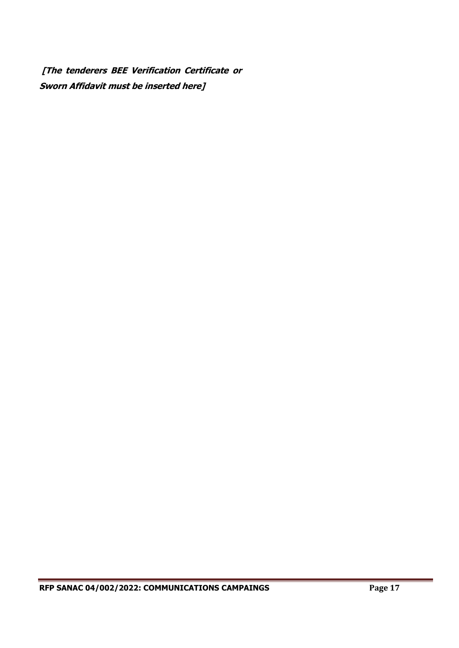**[The tenderers BEE Verification Certificate or Sworn Affidavit must be inserted here]**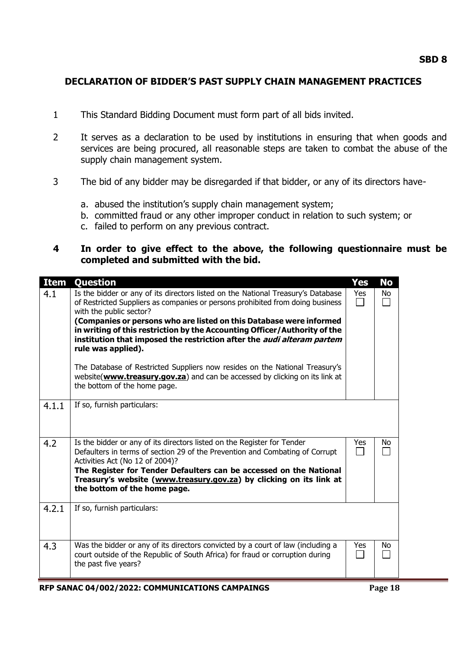## **DECLARATION OF BIDDER'S PAST SUPPLY CHAIN MANAGEMENT PRACTICES**

- 1 This Standard Bidding Document must form part of all bids invited.
- 2 It serves as a declaration to be used by institutions in ensuring that when goods and services are being procured, all reasonable steps are taken to combat the abuse of the supply chain management system.
- 3 The bid of any bidder may be disregarded if that bidder, or any of its directors have
	- a. abused the institution's supply chain management system;
	- b. committed fraud or any other improper conduct in relation to such system; or
	- c. failed to perform on any previous contract.

## **4 In order to give effect to the above, the following questionnaire must be completed and submitted with the bid.**

| <b>Item</b> | Question                                                                                                                                                                                                                                                                                                                                                                                                                                                                                                                                                                                                                                               | <b>Yes</b> | <b>No</b>    |
|-------------|--------------------------------------------------------------------------------------------------------------------------------------------------------------------------------------------------------------------------------------------------------------------------------------------------------------------------------------------------------------------------------------------------------------------------------------------------------------------------------------------------------------------------------------------------------------------------------------------------------------------------------------------------------|------------|--------------|
| 4.1         | Is the bidder or any of its directors listed on the National Treasury's Database<br>of Restricted Suppliers as companies or persons prohibited from doing business<br>with the public sector?<br>(Companies or persons who are listed on this Database were informed<br>in writing of this restriction by the Accounting Officer/Authority of the<br>institution that imposed the restriction after the <i>audi alteram partem</i><br>rule was applied).<br>The Database of Restricted Suppliers now resides on the National Treasury's<br>website(www.treasury.gov.za) and can be accessed by clicking on its link at<br>the bottom of the home page. | Yes        | No<br>$\sim$ |
| 4.1.1       | If so, furnish particulars:                                                                                                                                                                                                                                                                                                                                                                                                                                                                                                                                                                                                                            |            |              |
| 4.2         | Is the bidder or any of its directors listed on the Register for Tender<br>Defaulters in terms of section 29 of the Prevention and Combating of Corrupt<br>Activities Act (No 12 of 2004)?<br>The Register for Tender Defaulters can be accessed on the National<br>Treasury's website (www.treasury.gov.za) by clicking on its link at<br>the bottom of the home page.                                                                                                                                                                                                                                                                                | Yes        | No           |
| 4.2.1       | If so, furnish particulars:                                                                                                                                                                                                                                                                                                                                                                                                                                                                                                                                                                                                                            |            |              |
| 4.3         | Was the bidder or any of its directors convicted by a court of law (including a<br>court outside of the Republic of South Africa) for fraud or corruption during<br>the past five years?                                                                                                                                                                                                                                                                                                                                                                                                                                                               | Yes        | No.          |

**RFP SANAC 04/002/2022: COMMUNICATIONS CAMPAINGS Page 18**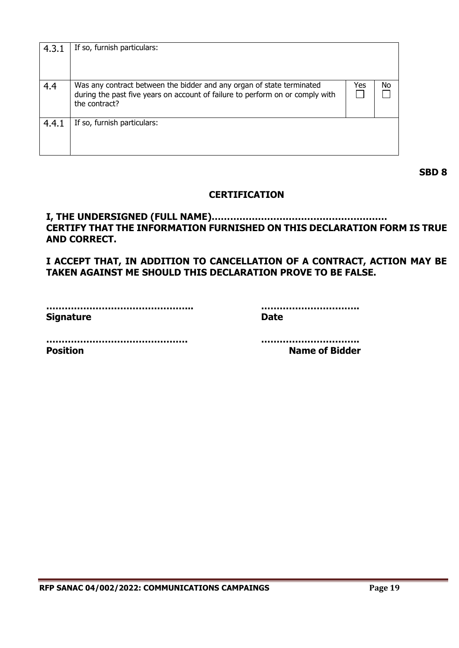| 4.3.1 | If so, furnish particulars:                                                                                                                                             |     |    |
|-------|-------------------------------------------------------------------------------------------------------------------------------------------------------------------------|-----|----|
| 4.4   | Was any contract between the bidder and any organ of state terminated<br>during the past five years on account of failure to perform on or comply with<br>the contract? | Yes | No |
| 4.4.1 | If so, furnish particulars:                                                                                                                                             |     |    |

**SBD 8**

## **CERTIFICATION**

**I, THE UNDERSIGNED (FULL NAME)………………………………………………… CERTIFY THAT THE INFORMATION FURNISHED ON THIS DECLARATION FORM IS TRUE AND CORRECT.**

**I ACCEPT THAT, IN ADDITION TO CANCELLATION OF A CONTRACT, ACTION MAY BE TAKEN AGAINST ME SHOULD THIS DECLARATION PROVE TO BE FALSE.**

| <b>Signature</b> | Date |
|------------------|------|

**………………………………………... …………………………..**

**………………………………………. ………………………….. Position Name of Bidder**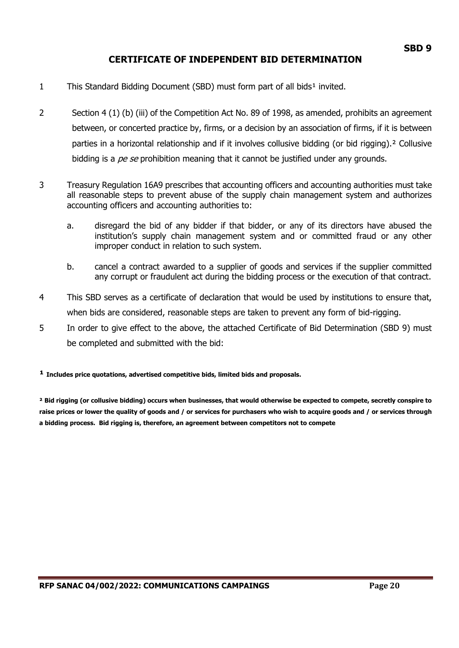## **CERTIFICATE OF INDEPENDENT BID DETERMINATION**

- 1 This Standard Bidding Document (SBD) must form part of all bids<sup>1</sup> invited.
- 2 Section 4 (1) (b) (iii) of the Competition Act No. 89 of 1998, as amended, prohibits an agreement between, or concerted practice by, firms, or a decision by an association of firms, if it is between parties in a horizontal relationship and if it involves collusive bidding (or bid rigging).² Collusive bidding is a *pe se* prohibition meaning that it cannot be justified under any grounds.
- 3 Treasury Regulation 16A9 prescribes that accounting officers and accounting authorities must take all reasonable steps to prevent abuse of the supply chain management system and authorizes accounting officers and accounting authorities to:
	- a. disregard the bid of any bidder if that bidder, or any of its directors have abused the institution's supply chain management system and or committed fraud or any other improper conduct in relation to such system.
	- b. cancel a contract awarded to a supplier of goods and services if the supplier committed any corrupt or fraudulent act during the bidding process or the execution of that contract.
- 4 This SBD serves as a certificate of declaration that would be used by institutions to ensure that, when bids are considered, reasonable steps are taken to prevent any form of bid-rigging.
- 5 In order to give effect to the above, the attached Certificate of Bid Determination (SBD 9) must be completed and submitted with the bid:

**¹ Includes price quotations, advertised competitive bids, limited bids and proposals.**

**² Bid rigging (or collusive bidding) occurs when businesses, that would otherwise be expected to compete, secretly conspire to raise prices or lower the quality of goods and / or services for purchasers who wish to acquire goods and / or services through a bidding process. Bid rigging is, therefore, an agreement between competitors not to compete**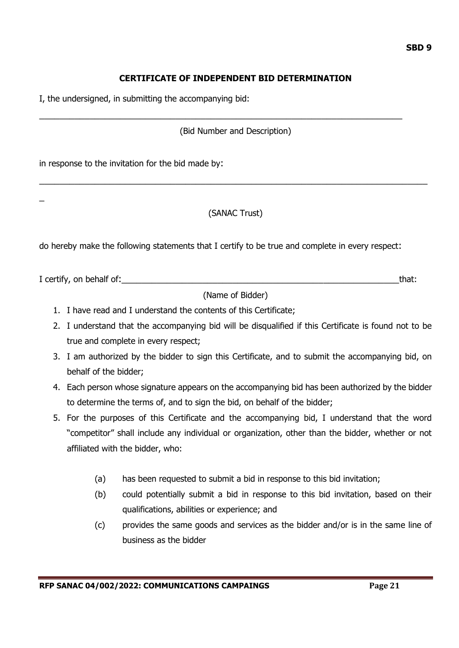## **CERTIFICATE OF INDEPENDENT BID DETERMINATION**

I, the undersigned, in submitting the accompanying bid:

(Bid Number and Description)

\_\_\_\_\_\_\_\_\_\_\_\_\_\_\_\_\_\_\_\_\_\_\_\_\_\_\_\_\_\_\_\_\_\_\_\_\_\_\_\_\_\_\_\_\_\_\_\_\_\_\_\_\_\_\_\_\_\_\_\_\_\_\_\_\_\_\_\_\_\_\_\_

in response to the invitation for the bid made by:

 $\overline{a}$ 

## (SANAC Trust)

\_\_\_\_\_\_\_\_\_\_\_\_\_\_\_\_\_\_\_\_\_\_\_\_\_\_\_\_\_\_\_\_\_\_\_\_\_\_\_\_\_\_\_\_\_\_\_\_\_\_\_\_\_\_\_\_\_\_\_\_\_\_\_\_\_\_\_\_\_\_\_\_\_\_\_\_\_

do hereby make the following statements that I certify to be true and complete in every respect:

I certify, on behalf of:\_\_\_\_\_\_\_\_\_\_\_\_\_\_\_\_\_\_\_\_\_\_\_\_\_\_\_\_\_\_\_\_\_\_\_\_\_\_\_\_\_\_\_\_\_\_\_\_\_\_\_\_\_\_\_that:

(Name of Bidder)

- 1. I have read and I understand the contents of this Certificate;
- 2. I understand that the accompanying bid will be disqualified if this Certificate is found not to be true and complete in every respect;
- 3. I am authorized by the bidder to sign this Certificate, and to submit the accompanying bid, on behalf of the bidder;
- 4. Each person whose signature appears on the accompanying bid has been authorized by the bidder to determine the terms of, and to sign the bid, on behalf of the bidder;
- 5. For the purposes of this Certificate and the accompanying bid, I understand that the word "competitor" shall include any individual or organization, other than the bidder, whether or not affiliated with the bidder, who:
	- (a) has been requested to submit a bid in response to this bid invitation;
	- (b) could potentially submit a bid in response to this bid invitation, based on their qualifications, abilities or experience; and
	- (c) provides the same goods and services as the bidder and/or is in the same line of business as the bidder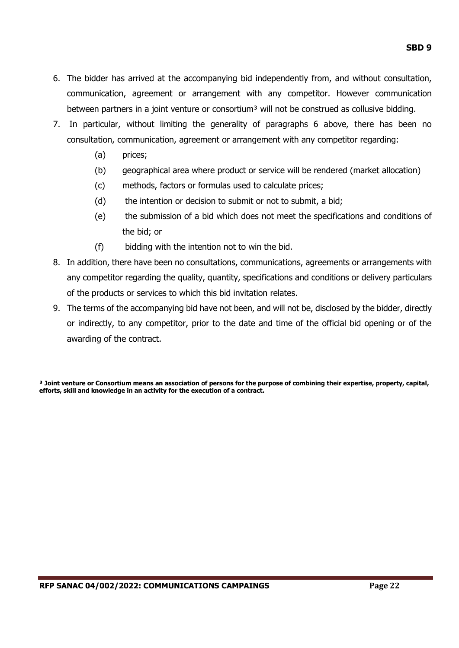- 6. The bidder has arrived at the accompanying bid independently from, and without consultation, communication, agreement or arrangement with any competitor. However communication between partners in a joint venture or consortium<sup>3</sup> will not be construed as collusive bidding.
- 7. In particular, without limiting the generality of paragraphs 6 above, there has been no consultation, communication, agreement or arrangement with any competitor regarding:
	- (a) prices;
	- (b) geographical area where product or service will be rendered (market allocation)
	- (c) methods, factors or formulas used to calculate prices;
	- (d) the intention or decision to submit or not to submit, a bid;
	- (e) the submission of a bid which does not meet the specifications and conditions of the bid; or
	- (f) bidding with the intention not to win the bid.
- 8. In addition, there have been no consultations, communications, agreements or arrangements with any competitor regarding the quality, quantity, specifications and conditions or delivery particulars of the products or services to which this bid invitation relates.
- 9. The terms of the accompanying bid have not been, and will not be, disclosed by the bidder, directly or indirectly, to any competitor, prior to the date and time of the official bid opening or of the awarding of the contract.

**³ Joint venture or Consortium means an association of persons for the purpose of combining their expertise, property, capital, efforts, skill and knowledge in an activity for the execution of a contract.**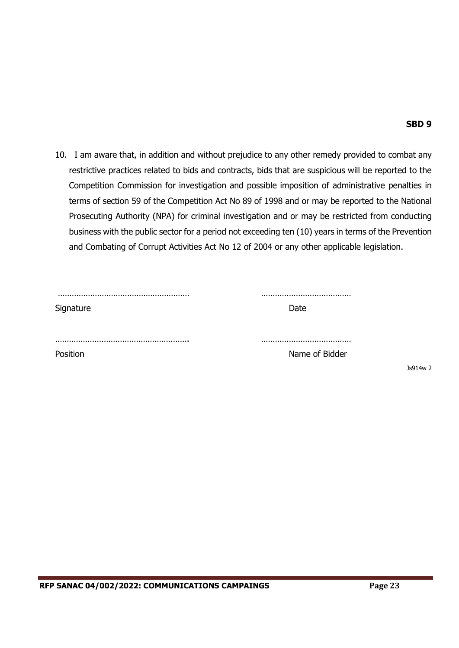Js914w 2

10. I am aware that, in addition and without prejudice to any other remedy provided to combat any restrictive practices related to bids and contracts, bids that are suspicious will be reported to the Competition Commission for investigation and possible imposition of administrative penalties in terms of section 59 of the Competition Act No 89 of 1998 and or may be reported to the National Prosecuting Authority (NPA) for criminal investigation and or may be restricted from conducting business with the public sector for a period not exceeding ten (10) years in terms of the Prevention and Combating of Corrupt Activities Act No 12 of 2004 or any other applicable legislation.

| Signature | Date           |
|-----------|----------------|
|           |                |
| Position  | Name of Bidder |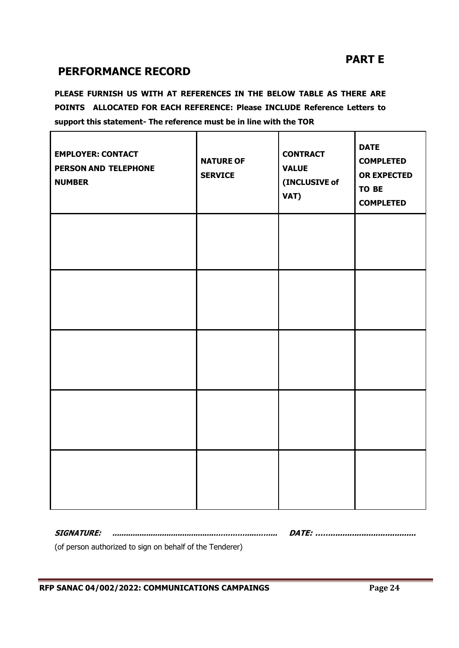# **PART E**

# **PERFORMANCE RECORD**

**PLEASE FURNISH US WITH AT REFERENCES IN THE BELOW TABLE AS THERE ARE POINTS ALLOCATED FOR EACH REFERENCE: Please INCLUDE Reference Letters to support this statement- The reference must be in line with the TOR**

| <b>EMPLOYER: CONTACT</b><br>PERSON AND TELEPHONE<br><b>NUMBER</b> | <b>NATURE OF</b><br><b>SERVICE</b> | <b>CONTRACT</b><br><b>VALUE</b><br>(INCLUSIVE of<br>VAT) | <b>DATE</b><br><b>COMPLETED</b><br><b>OR EXPECTED</b><br>TO BE<br><b>COMPLETED</b> |
|-------------------------------------------------------------------|------------------------------------|----------------------------------------------------------|------------------------------------------------------------------------------------|
|                                                                   |                                    |                                                          |                                                                                    |
|                                                                   |                                    |                                                          |                                                                                    |
|                                                                   |                                    |                                                          |                                                                                    |
|                                                                   |                                    |                                                          |                                                                                    |
|                                                                   |                                    |                                                          |                                                                                    |

**SIGNATURE: ..............................................………….....……... DATE: ……....................................**

(of person authorized to sign on behalf of the Tenderer)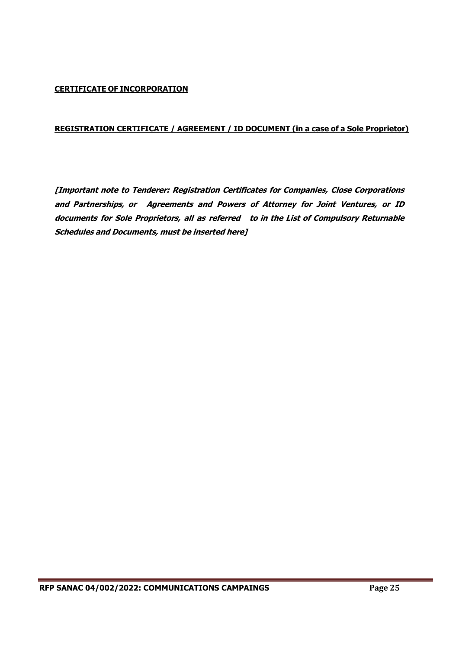#### **CERTIFICATE OF INCORPORATION**

#### **REGISTRATION CERTIFICATE / AGREEMENT / ID DOCUMENT (in a case of a Sole Proprietor)**

**[Important note to Tenderer: Registration Certificates for Companies, Close Corporations and Partnerships, or Agreements and Powers of Attorney for Joint Ventures, or ID documents for Sole Proprietors, all as referred to in the List of Compulsory Returnable Schedules and Documents, must be inserted here]**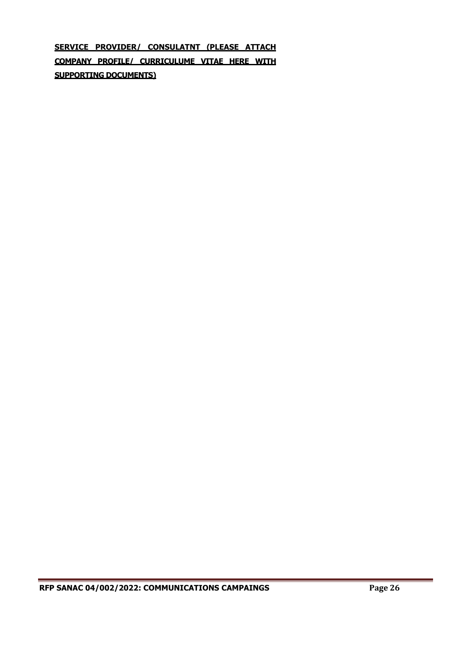**SERVICE PROVIDER/ CONSULATNT (PLEASE ATTACH COMPANY PROFILE/ CURRICULUME VITAE HERE WITH SUPPORTING DOCUMENTS)**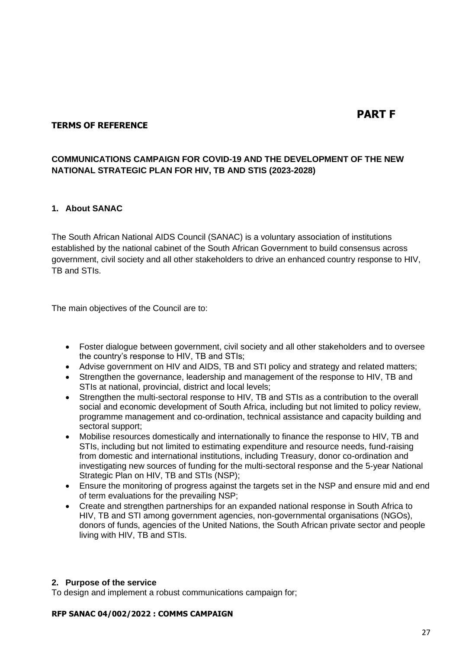# **PART F**

#### **TERMS OF REFERENCE**

## **COMMUNICATIONS CAMPAIGN FOR COVID-19 AND THE DEVELOPMENT OF THE NEW NATIONAL STRATEGIC PLAN FOR HIV, TB AND STIS (2023-2028)**

#### **1. About SANAC**

The South African National AIDS Council (SANAC) is a voluntary association of institutions established by the national cabinet of the South African Government to build consensus across government, civil society and all other stakeholders to drive an enhanced country response to HIV, TB and STIs.

The main objectives of the Council are to:

- Foster dialogue between government, civil society and all other stakeholders and to oversee the country's response to HIV, TB and STIs;
- Advise government on HIV and AIDS, TB and STI policy and strategy and related matters;
- Strengthen the governance, leadership and management of the response to HIV, TB and STIs at national, provincial, district and local levels;
- Strengthen the multi-sectoral response to HIV, TB and STIs as a contribution to the overall social and economic development of South Africa, including but not limited to policy review, programme management and co-ordination, technical assistance and capacity building and sectoral support;
- Mobilise resources domestically and internationally to finance the response to HIV, TB and STIs, including but not limited to estimating expenditure and resource needs, fund-raising from domestic and international institutions, including Treasury, donor co-ordination and investigating new sources of funding for the multi-sectoral response and the 5-year National Strategic Plan on HIV, TB and STIs (NSP);
- Ensure the monitoring of progress against the targets set in the NSP and ensure mid and end of term evaluations for the prevailing NSP;
- Create and strengthen partnerships for an expanded national response in South Africa to HIV, TB and STI among government agencies, non-governmental organisations (NGOs), donors of funds, agencies of the United Nations, the South African private sector and people living with HIV, TB and STIs.

#### **2. Purpose of the service**

To design and implement a robust communications campaign for;

#### **RFP SANAC 04/002/2022 : COMMS CAMPAIGN**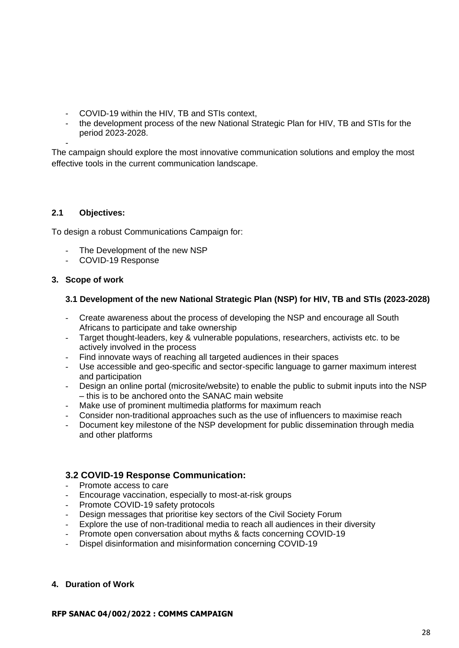- COVID-19 within the HIV, TB and STIs context,
- the development process of the new National Strategic Plan for HIV, TB and STIs for the period 2023-2028.

- The campaign should explore the most innovative communication solutions and employ the most effective tools in the current communication landscape.

#### **2.1 Objectives:**

To design a robust Communications Campaign for:

- The Development of the new NSP
- COVID-19 Response

#### **3. Scope of work**

#### **3.1 Development of the new National Strategic Plan (NSP) for HIV, TB and STIs (2023-2028)**

- Create awareness about the process of developing the NSP and encourage all South Africans to participate and take ownership
- Target thought-leaders, key & vulnerable populations, researchers, activists etc. to be actively involved in the process
- Find innovate ways of reaching all targeted audiences in their spaces
- Use accessible and geo-specific and sector-specific language to garner maximum interest and participation
- Design an online portal (microsite/website) to enable the public to submit inputs into the NSP – this is to be anchored onto the SANAC main website
- Make use of prominent multimedia platforms for maximum reach
- Consider non-traditional approaches such as the use of influencers to maximise reach
- Document key milestone of the NSP development for public dissemination through media and other platforms

## **3.2 COVID-19 Response Communication:**

- Promote access to care
- Encourage vaccination, especially to most-at-risk groups
- Promote COVID-19 safety protocols
- Design messages that prioritise key sectors of the Civil Society Forum
- Explore the use of non-traditional media to reach all audiences in their diversity
- Promote open conversation about myths & facts concerning COVID-19
- Dispel disinformation and misinformation concerning COVID-19

#### **4. Duration of Work**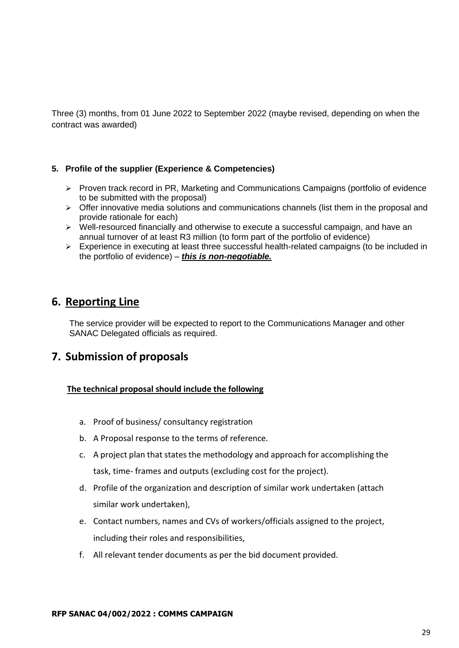Three (3) months, from 01 June 2022 to September 2022 (maybe revised, depending on when the contract was awarded)

#### **5. Profile of the supplier (Experience & Competencies)**

- ➢ Proven track record in PR, Marketing and Communications Campaigns (portfolio of evidence to be submitted with the proposal)
- $\triangleright$  Offer innovative media solutions and communications channels (list them in the proposal and provide rationale for each)
- $\triangleright$  Well-resourced financially and otherwise to execute a successful campaign, and have an annual turnover of at least R3 million (to form part of the portfolio of evidence)
- ➢ Experience in executing at least three successful health-related campaigns (to be included in the portfolio of evidence) – *this is non-negotiable.*

## **6. Reporting Line**

The service provider will be expected to report to the Communications Manager and other SANAC Delegated officials as required.

# **7. Submission of proposals**

## **The technical proposal should include the following**

- a. Proof of business/ consultancy registration
- b. A Proposal response to the terms of reference.
- c. A project plan that states the methodology and approach for accomplishing the task, time- frames and outputs (excluding cost for the project).
- d. Profile of the organization and description of similar work undertaken (attach similar work undertaken),
- e. Contact numbers, names and CVs of workers/officials assigned to the project, including their roles and responsibilities,
- f. All relevant tender documents as per the bid document provided.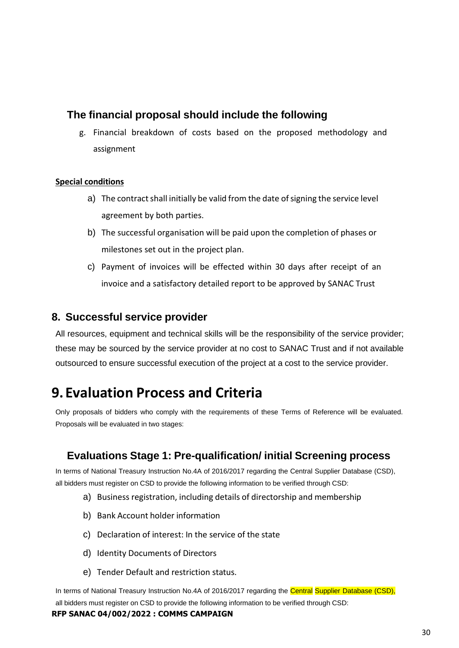# **The financial proposal should include the following**

g. Financial breakdown of costs based on the proposed methodology and assignment

## **Special conditions**

- a) The contract shall initially be valid from the date of signing the service level agreement by both parties.
- b) The successful organisation will be paid upon the completion of phases or milestones set out in the project plan.
- c) Payment of invoices will be effected within 30 days after receipt of an invoice and a satisfactory detailed report to be approved by SANAC Trust

## **8. Successful service provider**

All resources, equipment and technical skills will be the responsibility of the service provider; these may be sourced by the service provider at no cost to SANAC Trust and if not available outsourced to ensure successful execution of the project at a cost to the service provider.

# **9. Evaluation Process and Criteria**

Only proposals of bidders who comply with the requirements of these Terms of Reference will be evaluated. Proposals will be evaluated in two stages:

# **Evaluations Stage 1: Pre-qualification/ initial Screening process**

In terms of National Treasury Instruction No.4A of 2016/2017 regarding the Central Supplier Database (CSD), all bidders must register on CSD to provide the following information to be verified through CSD:

- a) Business registration, including details of directorship and membership
- b) Bank Account holder information
- c) Declaration of interest: In the service of the state
- d) Identity Documents of Directors
- e) Tender Default and restriction status.

In terms of National Treasury Instruction No.4A of 2016/2017 regarding the Central Supplier Database (CSD), all bidders must register on CSD to provide the following information to be verified through CSD:

#### **RFP SANAC 04/002/2022 : COMMS CAMPAIGN**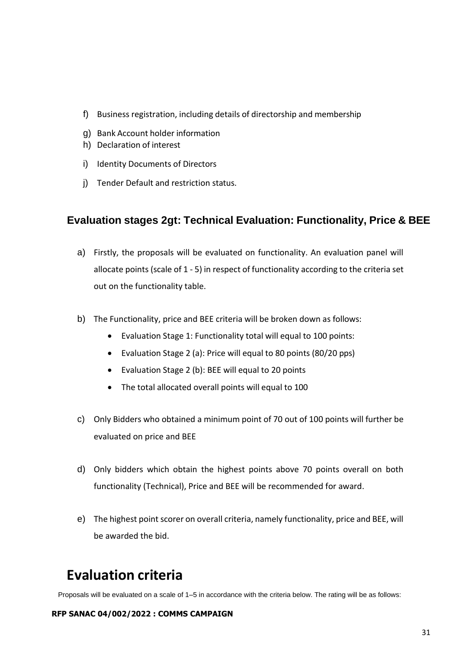- f) Business registration, including details of directorship and membership
- g) Bank Account holder information
- h) Declaration of interest
- i) Identity Documents of Directors
- j) Tender Default and restriction status.

# **Evaluation stages 2gt: Technical Evaluation: Functionality, Price & BEE**

- a) Firstly, the proposals will be evaluated on functionality. An evaluation panel will allocate points (scale of 1 - 5) in respect of functionality according to the criteria set out on the functionality table.
- b) The Functionality, price and BEE criteria will be broken down as follows:
	- Evaluation Stage 1: Functionality total will equal to 100 points:
	- Evaluation Stage 2 (a): Price will equal to 80 points (80/20 pps)
	- Evaluation Stage 2 (b): BEE will equal to 20 points
	- The total allocated overall points will equal to 100
- c) Only Bidders who obtained a minimum point of 70 out of 100 points will further be evaluated on price and BEE
- d) Only bidders which obtain the highest points above 70 points overall on both functionality (Technical), Price and BEE will be recommended for award.
- e) The highest point scorer on overall criteria, namely functionality, price and BEE, will be awarded the bid.

# **Evaluation criteria**

Proposals will be evaluated on a scale of 1–5 in accordance with the criteria below. The rating will be as follows:

#### **RFP SANAC 04/002/2022 : COMMS CAMPAIGN**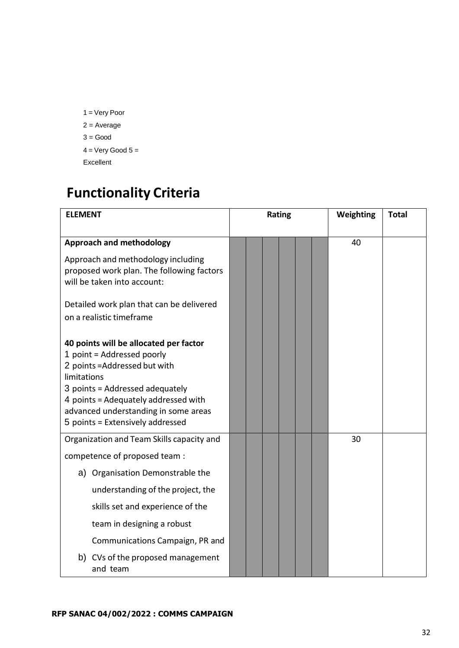1 = Very Poor 2 = Average  $3 = Good$  $4 = \text{Very Good } 5 =$ Excellent

# **Functionality Criteria**

| <b>ELEMENT</b>                                                                                                                                                                                                                                                              | <b>Rating</b> |  |  | Weighting | <b>Total</b> |    |  |
|-----------------------------------------------------------------------------------------------------------------------------------------------------------------------------------------------------------------------------------------------------------------------------|---------------|--|--|-----------|--------------|----|--|
| <b>Approach and methodology</b>                                                                                                                                                                                                                                             |               |  |  |           |              | 40 |  |
| Approach and methodology including<br>proposed work plan. The following factors<br>will be taken into account:                                                                                                                                                              |               |  |  |           |              |    |  |
| Detailed work plan that can be delivered<br>on a realistic timeframe                                                                                                                                                                                                        |               |  |  |           |              |    |  |
| 40 points will be allocated per factor<br>1 point = Addressed poorly<br>2 points = Addressed but with<br>limitations<br>3 points = Addressed adequately<br>4 points = Adequately addressed with<br>advanced understanding in some areas<br>5 points = Extensively addressed |               |  |  |           |              |    |  |
| Organization and Team Skills capacity and                                                                                                                                                                                                                                   |               |  |  |           |              | 30 |  |
| competence of proposed team :                                                                                                                                                                                                                                               |               |  |  |           |              |    |  |
| a) Organisation Demonstrable the                                                                                                                                                                                                                                            |               |  |  |           |              |    |  |
| understanding of the project, the                                                                                                                                                                                                                                           |               |  |  |           |              |    |  |
| skills set and experience of the                                                                                                                                                                                                                                            |               |  |  |           |              |    |  |
| team in designing a robust                                                                                                                                                                                                                                                  |               |  |  |           |              |    |  |
| Communications Campaign, PR and                                                                                                                                                                                                                                             |               |  |  |           |              |    |  |
| b) CVs of the proposed management<br>and team                                                                                                                                                                                                                               |               |  |  |           |              |    |  |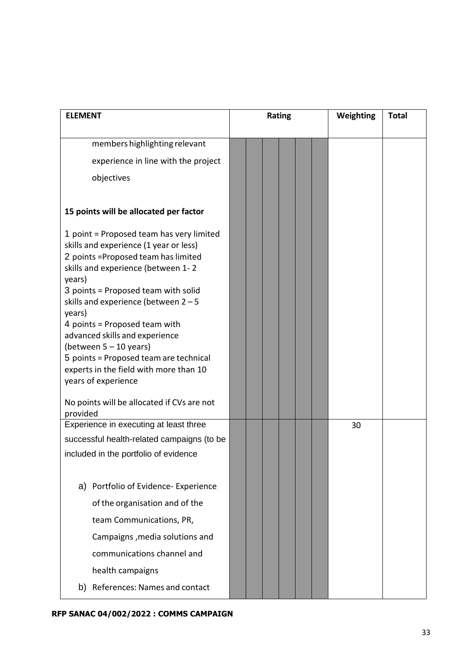| <b>ELEMENT</b>                                                                                                                                                                                                                                                                                                                                                                                                                                                                  | Rating | Weighting<br><b>Total</b> |
|---------------------------------------------------------------------------------------------------------------------------------------------------------------------------------------------------------------------------------------------------------------------------------------------------------------------------------------------------------------------------------------------------------------------------------------------------------------------------------|--------|---------------------------|
|                                                                                                                                                                                                                                                                                                                                                                                                                                                                                 |        |                           |
| members highlighting relevant                                                                                                                                                                                                                                                                                                                                                                                                                                                   |        |                           |
| experience in line with the project                                                                                                                                                                                                                                                                                                                                                                                                                                             |        |                           |
| objectives                                                                                                                                                                                                                                                                                                                                                                                                                                                                      |        |                           |
|                                                                                                                                                                                                                                                                                                                                                                                                                                                                                 |        |                           |
| 15 points will be allocated per factor                                                                                                                                                                                                                                                                                                                                                                                                                                          |        |                           |
| 1 point = Proposed team has very limited<br>skills and experience (1 year or less)<br>2 points = Proposed team has limited<br>skills and experience (between 1-2<br>years)<br>3 points = Proposed team with solid<br>skills and experience (between $2 - 5$<br>years)<br>4 points = Proposed team with<br>advanced skills and experience<br>(between $5 - 10$ years)<br>5 points = Proposed team are technical<br>experts in the field with more than 10<br>years of experience |        |                           |
| No points will be allocated if CVs are not<br>provided                                                                                                                                                                                                                                                                                                                                                                                                                          |        |                           |
| Experience in executing at least three                                                                                                                                                                                                                                                                                                                                                                                                                                          |        | 30                        |
| successful health-related campaigns (to be                                                                                                                                                                                                                                                                                                                                                                                                                                      |        |                           |
| included in the portfolio of evidence                                                                                                                                                                                                                                                                                                                                                                                                                                           |        |                           |
| a) Portfolio of Evidence- Experience<br>of the organisation and of the<br>team Communications, PR,<br>Campaigns, media solutions and<br>communications channel and<br>health campaigns                                                                                                                                                                                                                                                                                          |        |                           |
| References: Names and contact<br>b)                                                                                                                                                                                                                                                                                                                                                                                                                                             |        |                           |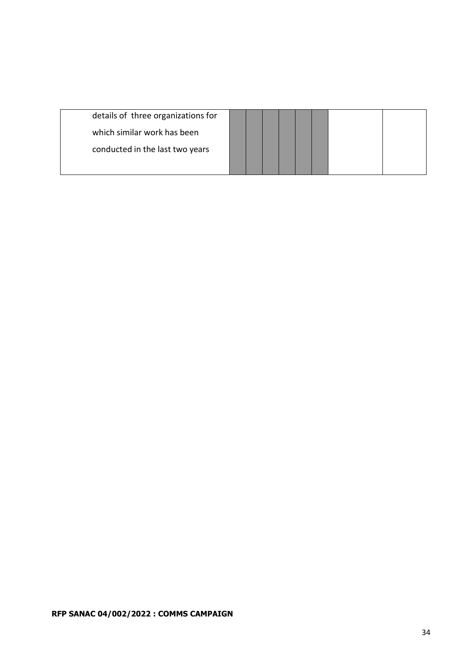| details of three organizations for |  |  |  |  |
|------------------------------------|--|--|--|--|
| which similar work has been        |  |  |  |  |
| conducted in the last two years    |  |  |  |  |
|                                    |  |  |  |  |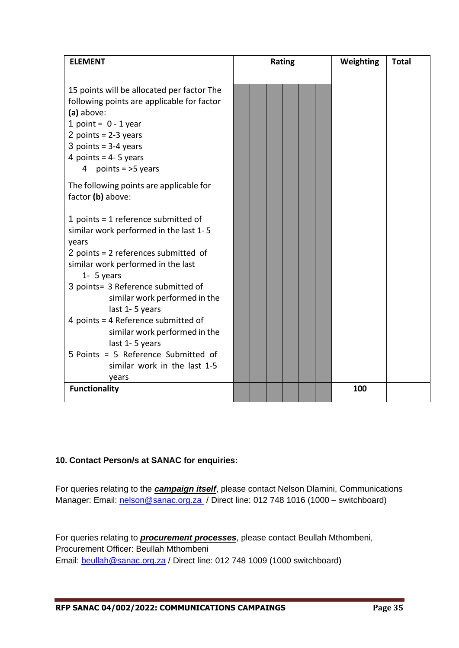| <b>ELEMENT</b>                                      | Rating |  |  |  |  | Weighting | <b>Total</b> |  |
|-----------------------------------------------------|--------|--|--|--|--|-----------|--------------|--|
|                                                     |        |  |  |  |  |           |              |  |
| 15 points will be allocated per factor The          |        |  |  |  |  |           |              |  |
| following points are applicable for factor          |        |  |  |  |  |           |              |  |
| (a) above:                                          |        |  |  |  |  |           |              |  |
| 1 point = $0 - 1$ year                              |        |  |  |  |  |           |              |  |
| 2 points = $2-3$ years                              |        |  |  |  |  |           |              |  |
| 3 points = $3-4$ years                              |        |  |  |  |  |           |              |  |
| 4 points = $4 - 5$ years                            |        |  |  |  |  |           |              |  |
| points $=$ >5 years<br>4                            |        |  |  |  |  |           |              |  |
| The following points are applicable for             |        |  |  |  |  |           |              |  |
| factor (b) above:                                   |        |  |  |  |  |           |              |  |
|                                                     |        |  |  |  |  |           |              |  |
| 1 points = 1 reference submitted of                 |        |  |  |  |  |           |              |  |
| similar work performed in the last 1-5              |        |  |  |  |  |           |              |  |
| years                                               |        |  |  |  |  |           |              |  |
| 2 points = 2 references submitted of                |        |  |  |  |  |           |              |  |
| similar work performed in the last<br>$1 - 5$ years |        |  |  |  |  |           |              |  |
| 3 points= 3 Reference submitted of                  |        |  |  |  |  |           |              |  |
| similar work performed in the                       |        |  |  |  |  |           |              |  |
| last 1-5 years                                      |        |  |  |  |  |           |              |  |
| 4 points = 4 Reference submitted of                 |        |  |  |  |  |           |              |  |
| similar work performed in the                       |        |  |  |  |  |           |              |  |
| last 1-5 years                                      |        |  |  |  |  |           |              |  |
| 5 Points = 5 Reference Submitted of                 |        |  |  |  |  |           |              |  |
| similar work in the last 1-5                        |        |  |  |  |  |           |              |  |
| years                                               |        |  |  |  |  |           |              |  |
| <b>Functionality</b>                                |        |  |  |  |  |           | 100          |  |
|                                                     |        |  |  |  |  |           |              |  |

## **10. Contact Person/s at SANAC for enquiries:**

For queries relating to the *campaign itself*, please contact Nelson Dlamini, Communications Manager: Email: [nelson@sanac.org.za](mailto:nelson@sanac.org.za) / Direct line: 012 748 1016 (1000 – switchboard)

For queries relating to *procurement processes*, please contact Beullah Mthombeni, Procurement Officer: Beullah Mthombeni Email: [beullah@sanac.org.za](mailto:beullah@sanac.org.za) / Direct line: 012 748 1009 (1000 switchboard)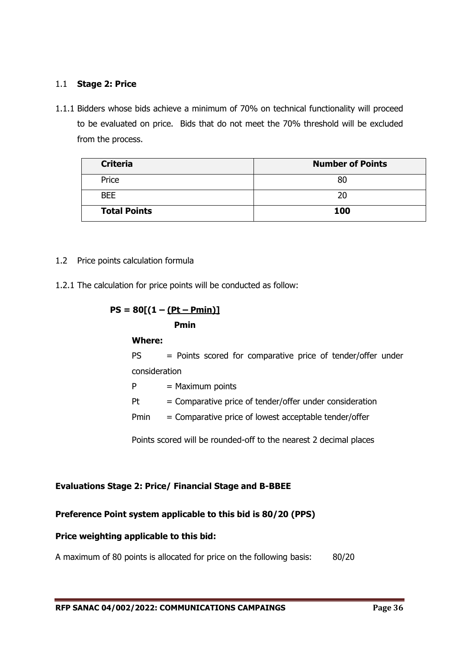#### 1.1 **Stage 2: Price**

1.1.1 Bidders whose bids achieve a minimum of 70% on technical functionality will proceed to be evaluated on price. Bids that do not meet the 70% threshold will be excluded from the process.

| <b>Criteria</b>     | <b>Number of Points</b> |
|---------------------|-------------------------|
| Price               | 80                      |
| <b>BEE</b>          | 20                      |
| <b>Total Points</b> | 100                     |

#### 1.2 Price points calculation formula

1.2.1 The calculation for price points will be conducted as follow:

$$
PS = 80[(1 - (Pt - Pmin))]
$$
  
Primin  
Where:  

$$
PS = Points scorec
$$

d for comparative price of tender/offer under consideration

 $P =$  Maximum points

- $Pt =$  Comparative price of tender/offer under consideration
- $Pmin =$  Comparative price of lowest acceptable tender/offer

Points scored will be rounded-off to the nearest 2 decimal places

## **Evaluations Stage 2: Price/ Financial Stage and B-BBEE**

## **Preference Point system applicable to this bid is 80/20 (PPS)**

#### **Price weighting applicable to this bid:**

A maximum of 80 points is allocated for price on the following basis: 80/20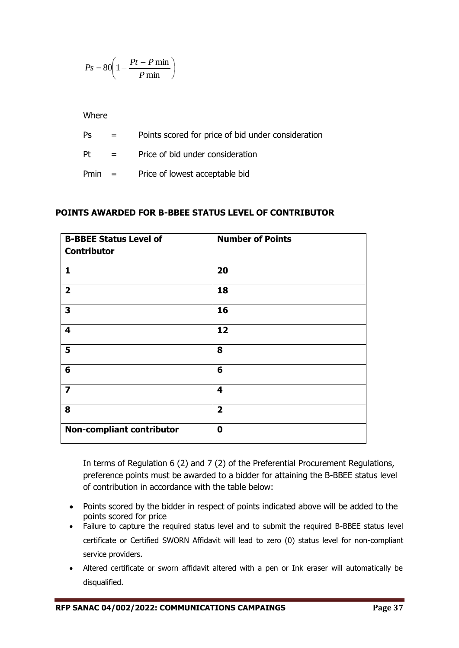$$
Ps = 80 \left( 1 - \frac{Pt - P \min P}{ \min} \right)
$$

- Ps = Points scored for price of bid under consideration
- Pt  $=$  Price of bid under consideration
- Pmin = Price of lowest acceptable bid

## **POINTS AWARDED FOR B-BBEE STATUS LEVEL OF CONTRIBUTOR**

|                         | $Ps = 80   1$      |                    | $-\frac{P_{\text{min}}}{P_{\text{min}}}$                                       |                                                                                                                                                                                                                                                                                                                                                                                                                                                                                                                                                                      |         |  |  |  |  |
|-------------------------|--------------------|--------------------|--------------------------------------------------------------------------------|----------------------------------------------------------------------------------------------------------------------------------------------------------------------------------------------------------------------------------------------------------------------------------------------------------------------------------------------------------------------------------------------------------------------------------------------------------------------------------------------------------------------------------------------------------------------|---------|--|--|--|--|
|                         |                    |                    |                                                                                |                                                                                                                                                                                                                                                                                                                                                                                                                                                                                                                                                                      |         |  |  |  |  |
|                         | Where              |                    |                                                                                |                                                                                                                                                                                                                                                                                                                                                                                                                                                                                                                                                                      |         |  |  |  |  |
|                         | Ps                 | $=$ $-$            |                                                                                | Points scored for price of bid under consideration                                                                                                                                                                                                                                                                                                                                                                                                                                                                                                                   |         |  |  |  |  |
|                         | Pt                 | $=$                |                                                                                | Price of bid under consideration                                                                                                                                                                                                                                                                                                                                                                                                                                                                                                                                     |         |  |  |  |  |
|                         | Pmin               | $=$ $-$            | Price of lowest acceptable bid                                                 |                                                                                                                                                                                                                                                                                                                                                                                                                                                                                                                                                                      |         |  |  |  |  |
|                         |                    |                    |                                                                                | POINTS AWARDED FOR B-BBEE STATUS LEVEL OF CONTRIBUTOR                                                                                                                                                                                                                                                                                                                                                                                                                                                                                                                |         |  |  |  |  |
|                         | <b>Contributor</b> |                    | <b>B-BBEE Status Level of</b>                                                  | <b>Number of Points</b>                                                                                                                                                                                                                                                                                                                                                                                                                                                                                                                                              |         |  |  |  |  |
| 1                       |                    |                    |                                                                                | 20                                                                                                                                                                                                                                                                                                                                                                                                                                                                                                                                                                   |         |  |  |  |  |
| $\overline{2}$          |                    |                    |                                                                                | 18                                                                                                                                                                                                                                                                                                                                                                                                                                                                                                                                                                   |         |  |  |  |  |
| 3                       |                    |                    |                                                                                | 16                                                                                                                                                                                                                                                                                                                                                                                                                                                                                                                                                                   |         |  |  |  |  |
| 4                       |                    |                    |                                                                                | 12                                                                                                                                                                                                                                                                                                                                                                                                                                                                                                                                                                   |         |  |  |  |  |
| 5                       |                    |                    |                                                                                | 8                                                                                                                                                                                                                                                                                                                                                                                                                                                                                                                                                                    |         |  |  |  |  |
| 6                       |                    |                    |                                                                                | 6                                                                                                                                                                                                                                                                                                                                                                                                                                                                                                                                                                    |         |  |  |  |  |
| $\overline{\mathbf{z}}$ |                    |                    |                                                                                | 4                                                                                                                                                                                                                                                                                                                                                                                                                                                                                                                                                                    |         |  |  |  |  |
| 8                       |                    |                    |                                                                                | $\overline{\mathbf{2}}$                                                                                                                                                                                                                                                                                                                                                                                                                                                                                                                                              |         |  |  |  |  |
|                         |                    |                    | <b>Non-compliant contributor</b>                                               | $\bf{0}$                                                                                                                                                                                                                                                                                                                                                                                                                                                                                                                                                             |         |  |  |  |  |
|                         |                    | service providers. | of contribution in accordance with the table below:<br>points scored for price | In terms of Regulation 6 (2) and 7 (2) of the Preferential Procurement Regulations,<br>preference points must be awarded to a bidder for attaining the B-BBEE status level<br>Points scored by the bidder in respect of points indicated above will be added to the<br>Failure to capture the required status level and to submit the required B-BBEE status level<br>certificate or Certified SWORN Affidavit will lead to zero (0) status level for non-compliant<br>Altered certificate or sworn affidavit altered with a pen or Ink eraser will automatically be |         |  |  |  |  |
|                         | disqualified.      |                    |                                                                                |                                                                                                                                                                                                                                                                                                                                                                                                                                                                                                                                                                      |         |  |  |  |  |
|                         |                    |                    | RFP SANAC 04/002/2022: COMMUNICATIONS CAMPAINGS                                |                                                                                                                                                                                                                                                                                                                                                                                                                                                                                                                                                                      | Page 37 |  |  |  |  |

- Points scored by the bidder in respect of points indicated above will be added to the points scored for price
- Failure to capture the required status level and to submit the required B-BBEE status level certificate or Certified SWORN Affidavit will lead to zero (0) status level for non-compliant service providers.
- Altered certificate or sworn affidavit altered with a pen or Ink eraser will automatically be disqualified.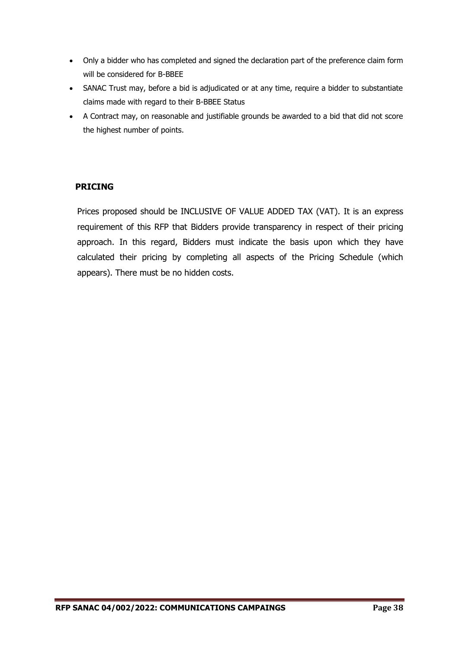- Only a bidder who has completed and signed the declaration part of the preference claim form will be considered for B-BBEE
- SANAC Trust may, before a bid is adjudicated or at any time, require a bidder to substantiate claims made with regard to their B-BBEE Status
- A Contract may, on reasonable and justifiable grounds be awarded to a bid that did not score the highest number of points.

## **PRICING**

Prices proposed should be INCLUSIVE OF VALUE ADDED TAX (VAT). It is an express requirement of this RFP that Bidders provide transparency in respect of their pricing approach. In this regard, Bidders must indicate the basis upon which they have calculated their pricing by completing all aspects of the Pricing Schedule (which appears). There must be no hidden costs.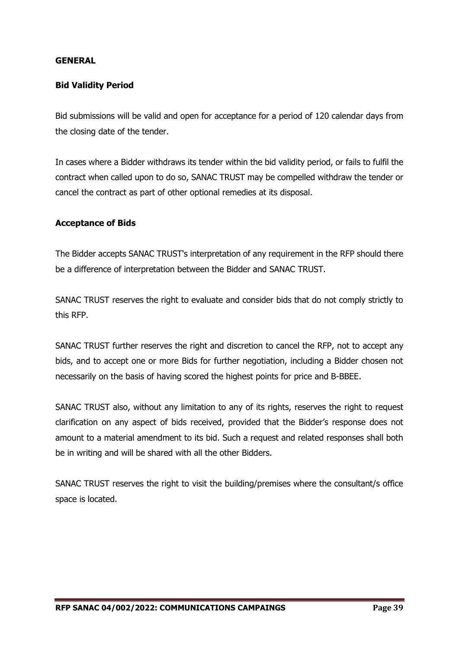#### **GENERAL**

## **Bid Validity Period**

Bid submissions will be valid and open for acceptance for a period of 120 calendar days from the closing date of the tender.

In cases where a Bidder withdraws its tender within the bid validity period, or fails to fulfil the contract when called upon to do so, SANAC TRUST may be compelled withdraw the tender or cancel the contract as part of other optional remedies at its disposal.

#### **Acceptance of Bids**

The Bidder accepts SANAC TRUST's interpretation of any requirement in the RFP should there be a difference of interpretation between the Bidder and SANAC TRUST.

SANAC TRUST reserves the right to evaluate and consider bids that do not comply strictly to this RFP.

SANAC TRUST further reserves the right and discretion to cancel the RFP, not to accept any bids, and to accept one or more Bids for further negotiation, including a Bidder chosen not necessarily on the basis of having scored the highest points for price and B-BBEE.

SANAC TRUST also, without any limitation to any of its rights, reserves the right to request clarification on any aspect of bids received, provided that the Bidder's response does not amount to a material amendment to its bid. Such a request and related responses shall both be in writing and will be shared with all the other Bidders.

SANAC TRUST reserves the right to visit the building/premises where the consultant/s office space is located.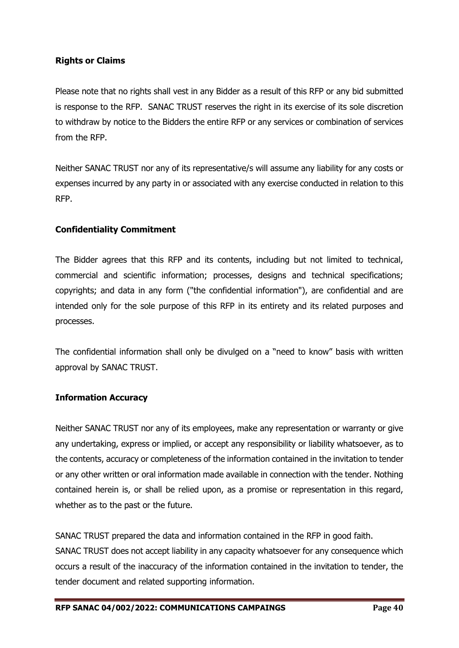## **Rights or Claims**

Please note that no rights shall vest in any Bidder as a result of this RFP or any bid submitted is response to the RFP. SANAC TRUST reserves the right in its exercise of its sole discretion to withdraw by notice to the Bidders the entire RFP or any services or combination of services from the RFP.

Neither SANAC TRUST nor any of its representative/s will assume any liability for any costs or expenses incurred by any party in or associated with any exercise conducted in relation to this RFP.

## **Confidentiality Commitment**

The Bidder agrees that this RFP and its contents, including but not limited to technical, commercial and scientific information; processes, designs and technical specifications; copyrights; and data in any form ("the confidential information"), are confidential and are intended only for the sole purpose of this RFP in its entirety and its related purposes and processes.

The confidential information shall only be divulged on a "need to know" basis with written approval by SANAC TRUST.

#### **Information Accuracy**

Neither SANAC TRUST nor any of its employees, make any representation or warranty or give any undertaking, express or implied, or accept any responsibility or liability whatsoever, as to the contents, accuracy or completeness of the information contained in the invitation to tender or any other written or oral information made available in connection with the tender. Nothing contained herein is, or shall be relied upon, as a promise or representation in this regard, whether as to the past or the future.

SANAC TRUST prepared the data and information contained in the RFP in good faith. SANAC TRUST does not accept liability in any capacity whatsoever for any consequence which occurs a result of the inaccuracy of the information contained in the invitation to tender, the tender document and related supporting information.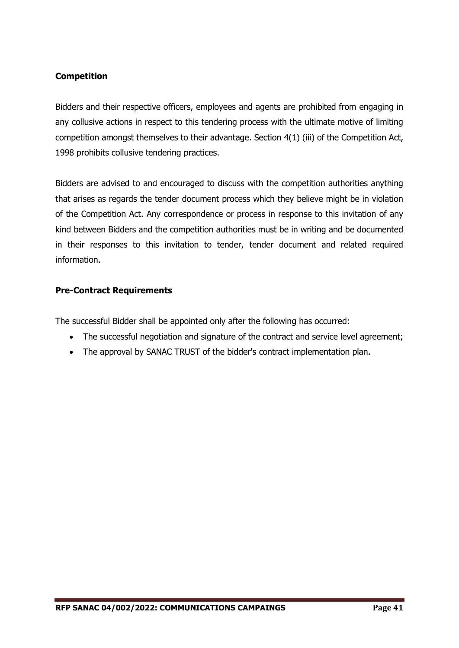## **Competition**

Bidders and their respective officers, employees and agents are prohibited from engaging in any collusive actions in respect to this tendering process with the ultimate motive of limiting competition amongst themselves to their advantage. Section 4(1) (iii) of the Competition Act, 1998 prohibits collusive tendering practices.

Bidders are advised to and encouraged to discuss with the competition authorities anything that arises as regards the tender document process which they believe might be in violation of the Competition Act. Any correspondence or process in response to this invitation of any kind between Bidders and the competition authorities must be in writing and be documented in their responses to this invitation to tender, tender document and related required information.

## **Pre-Contract Requirements**

The successful Bidder shall be appointed only after the following has occurred:

- The successful negotiation and signature of the contract and service level agreement;
- The approval by SANAC TRUST of the bidder's contract implementation plan.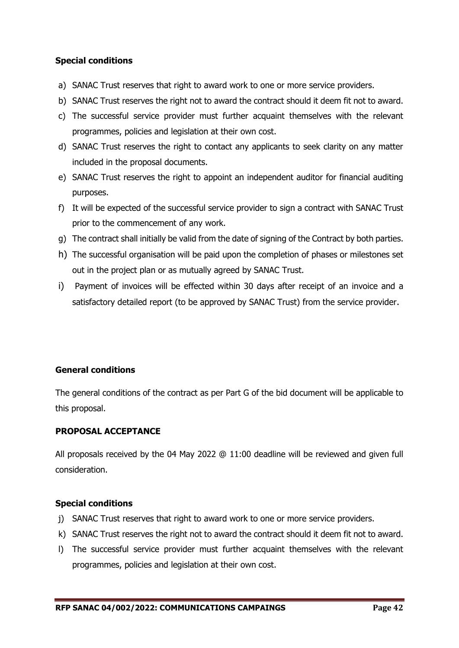## **Special conditions**

- a) SANAC Trust reserves that right to award work to one or more service providers.
- b) SANAC Trust reserves the right not to award the contract should it deem fit not to award.
- c) The successful service provider must further acquaint themselves with the relevant programmes, policies and legislation at their own cost.
- d) SANAC Trust reserves the right to contact any applicants to seek clarity on any matter included in the proposal documents.
- e) SANAC Trust reserves the right to appoint an independent auditor for financial auditing purposes.
- f) It will be expected of the successful service provider to sign a contract with SANAC Trust prior to the commencement of any work.
- g) The contract shall initially be valid from the date of signing of the Contract by both parties.
- h) The successful organisation will be paid upon the completion of phases or milestones set out in the project plan or as mutually agreed by SANAC Trust.
- i) Payment of invoices will be effected within 30 days after receipt of an invoice and a satisfactory detailed report (to be approved by SANAC Trust) from the service provider.

## **General conditions**

The general conditions of the contract as per Part G of the bid document will be applicable to this proposal.

## **PROPOSAL ACCEPTANCE**

All proposals received by the 04 May 2022 @ 11:00 deadline will be reviewed and given full consideration.

## **Special conditions**

- j) SANAC Trust reserves that right to award work to one or more service providers.
- k) SANAC Trust reserves the right not to award the contract should it deem fit not to award.
- l) The successful service provider must further acquaint themselves with the relevant programmes, policies and legislation at their own cost.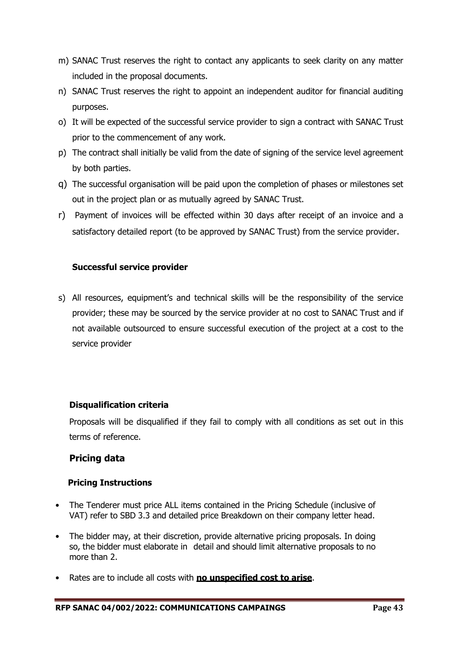- m) SANAC Trust reserves the right to contact any applicants to seek clarity on any matter included in the proposal documents.
- n) SANAC Trust reserves the right to appoint an independent auditor for financial auditing purposes.
- o) It will be expected of the successful service provider to sign a contract with SANAC Trust prior to the commencement of any work.
- p) The contract shall initially be valid from the date of signing of the service level agreement by both parties.
- q) The successful organisation will be paid upon the completion of phases or milestones set out in the project plan or as mutually agreed by SANAC Trust.
- r) Payment of invoices will be effected within 30 days after receipt of an invoice and a satisfactory detailed report (to be approved by SANAC Trust) from the service provider.

## **Successful service provider**

s) All resources, equipment's and technical skills will be the responsibility of the service provider; these may be sourced by the service provider at no cost to SANAC Trust and if not available outsourced to ensure successful execution of the project at a cost to the service provider

## **Disqualification criteria**

Proposals will be disqualified if they fail to comply with all conditions as set out in this terms of reference.

## **Pricing data**

## **Pricing Instructions**

- The Tenderer must price ALL items contained in the Pricing Schedule (inclusive of VAT) refer to SBD 3.3 and detailed price Breakdown on their company letter head.
- The bidder may, at their discretion, provide alternative pricing proposals. In doing so, the bidder must elaborate in detail and should limit alternative proposals to no more than 2.
- Rates are to include all costs with **no unspecified cost to arise**.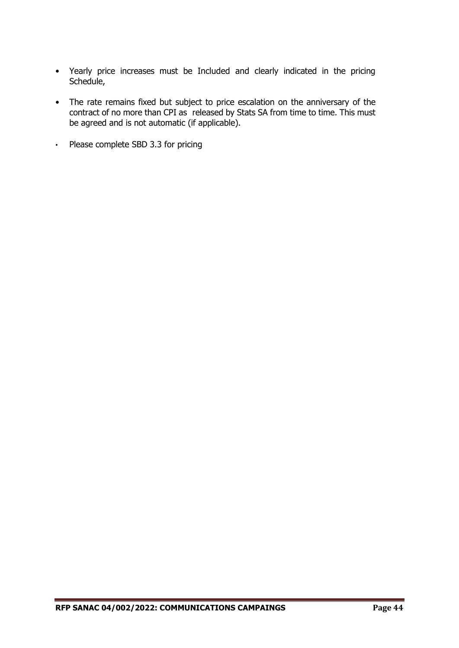- Yearly price increases must be Included and clearly indicated in the pricing Schedule,
- The rate remains fixed but subject to price escalation on the anniversary of the contract of no more than CPI as released by Stats SA from time to time. This must be agreed and is not automatic (if applicable).
- Please complete SBD 3.3 for pricing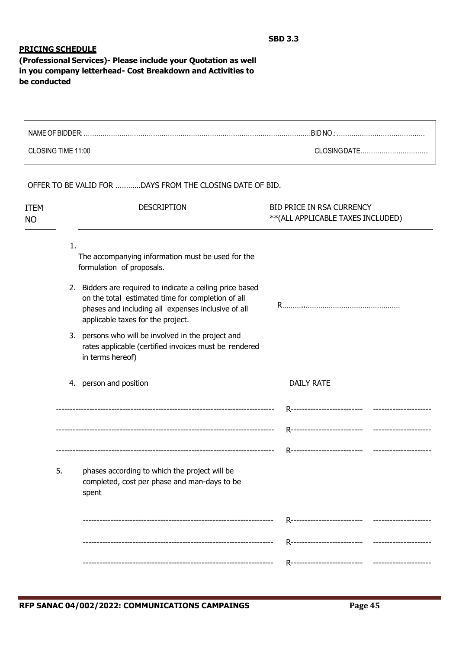#### **PRICING SCHEDULE**

**(Professional Services)- Please include your Quotation as well in you company letterhead- Cost Breakdown and Activities to be conducted**

| NAME OF BIDDER:    | .BID NO      |
|--------------------|--------------|
| CLOSING TIME 11:00 | CLOSINGDATE. |

OFFER TO BE VALID FOR …………DAYS FROM THE CLOSING DATE OF BID.

| <b>ITEM</b><br><b>NO</b> |    | <b>DESCRIPTION</b>                                                                                                                                                                                        | BID PRICE IN RSA CURRENCY<br>** (ALL APPLICABLE TAXES INCLUDED) |  |  |  |
|--------------------------|----|-----------------------------------------------------------------------------------------------------------------------------------------------------------------------------------------------------------|-----------------------------------------------------------------|--|--|--|
|                          | 1. | The accompanying information must be used for the<br>formulation of proposals.                                                                                                                            |                                                                 |  |  |  |
|                          |    | 2. Bidders are required to indicate a ceiling price based<br>on the total estimated time for completion of all<br>phases and including all expenses inclusive of all<br>applicable taxes for the project. |                                                                 |  |  |  |
|                          |    | 3. persons who will be involved in the project and<br>rates applicable (certified invoices must be rendered<br>in terms hereof)                                                                           |                                                                 |  |  |  |
|                          |    | 4. person and position                                                                                                                                                                                    | <b>DAILY RATE</b>                                               |  |  |  |
|                          |    |                                                                                                                                                                                                           | R----------------------------                                   |  |  |  |
|                          |    |                                                                                                                                                                                                           |                                                                 |  |  |  |
|                          | 5. | phases according to which the project will be<br>completed, cost per phase and man-days to be<br>spent                                                                                                    |                                                                 |  |  |  |
|                          |    |                                                                                                                                                                                                           | R---------------------------                                    |  |  |  |
|                          |    |                                                                                                                                                                                                           |                                                                 |  |  |  |
|                          |    |                                                                                                                                                                                                           | R----------------------------<br>-----------------              |  |  |  |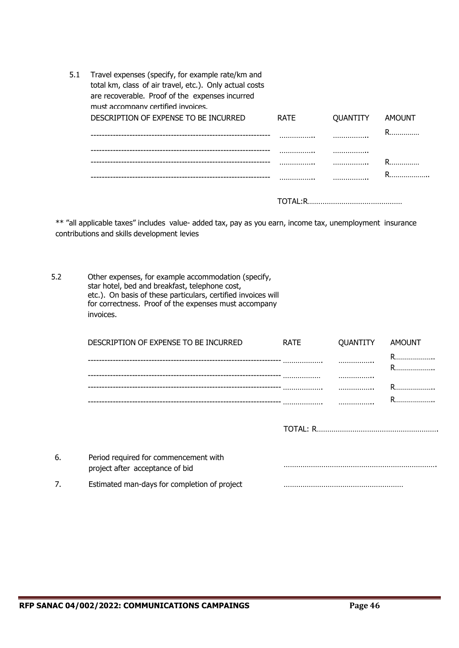| 5.1 | Travel expenses (specify, for example rate/km and<br>total km, class of air travel, etc.). Only actual costs<br>are recoverable. Proof of the expenses incurred<br>must accompany certified invoices. |             |          |        |
|-----|-------------------------------------------------------------------------------------------------------------------------------------------------------------------------------------------------------|-------------|----------|--------|
|     | DESCRIPTION OF EXPENSE TO BE INCURRED                                                                                                                                                                 | <b>RATE</b> | QUANTITY | AMOUNT |
|     |                                                                                                                                                                                                       | .           | .        | R      |
|     |                                                                                                                                                                                                       |             | .        |        |
|     |                                                                                                                                                                                                       | .           |          | R.     |
|     |                                                                                                                                                                                                       |             |          | R.     |
|     |                                                                                                                                                                                                       |             |          |        |

\*\* "all applicable taxes" includes value- added tax, pay as you earn, income tax, unemployment insurance contributions and skills development levies

5.2 Other expenses, for example accommodation (specify, star hotel, bed and breakfast, telephone cost, etc.). On basis of these particulars, certified invoices will for correctness. Proof of the expenses must accompany invoices.

|    | DESCRIPTION OF EXPENSE TO BE INCURRED                                    | <b>RATE</b>     | QUANTITY | <b>AMOUNT</b> |
|----|--------------------------------------------------------------------------|-----------------|----------|---------------|
|    |                                                                          |                 |          | R<br>R        |
|    |                                                                          |                 |          |               |
|    |                                                                          |                 |          |               |
|    |                                                                          |                 |          | R             |
|    |                                                                          | <b>TOTAL: R</b> |          |               |
| 6. | Period required for commencement with<br>project after acceptance of bid |                 |          |               |
| 7. | Estimated man-days for completion of project                             |                 |          |               |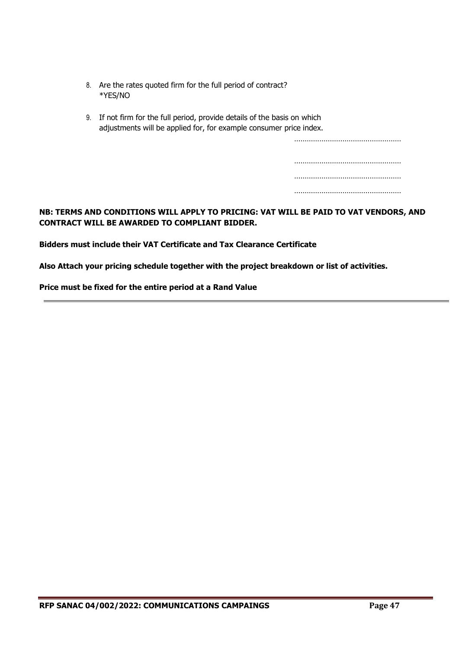- 8. Are the rates quoted firm for the full period of contract? \*YES/NO
- 9. If not firm for the full period, provide details of the basis on which adjustments will be applied for, for example consumer price index.

……………………………………………

|  |  |  |  |  | . |
|--|--|--|--|--|---|
|  |  |  |  |  |   |
|  |  |  |  |  |   |

#### **NB: TERMS AND CONDITIONS WILL APPLY TO PRICING: VAT WILL BE PAID TO VAT VENDORS, AND CONTRACT WILL BE AWARDED TO COMPLIANT BIDDER.**

**Bidders must include their VAT Certificate and Tax Clearance Certificate**

**Also Attach your pricing schedule together with the project breakdown or list of activities.**

**Price must be fixed for the entire period at a Rand Value**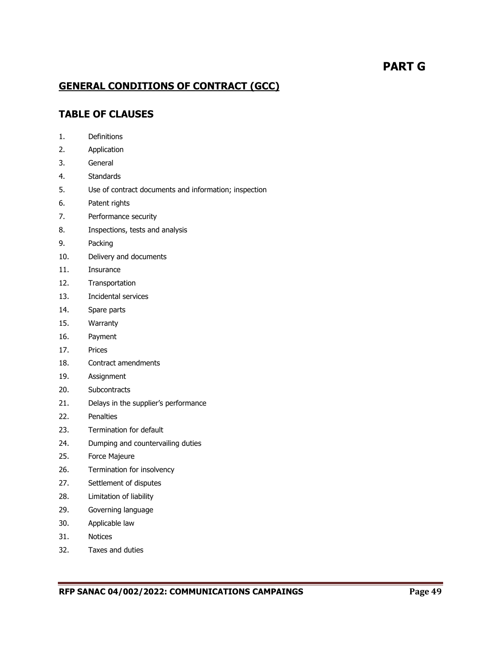# **PART G**

## **GENERAL CONDITIONS OF CONTRACT (GCC)**

## **TABLE OF CLAUSES**

- 1. Definitions
- 2. Application
- 3. General
- 4. Standards
- 5. Use of contract documents and information; inspection
- 6. Patent rights
- 7. Performance security
- 8. Inspections, tests and analysis
- 9. Packing
- 10. Delivery and documents
- 11. Insurance
- 12. Transportation
- 13. Incidental services
- 14. Spare parts
- 15. Warranty
- 16. Payment
- 17. Prices
- 18. Contract amendments
- 19. Assignment
- 20. Subcontracts
- 21. Delays in the supplier's performance
- 22. Penalties
- 23. Termination for default
- 24. Dumping and countervailing duties
- 25. Force Majeure
- 26. Termination for insolvency
- 27. Settlement of disputes
- 28. Limitation of liability
- 29. Governing language
- 30. Applicable law
- 31. Notices
- 32. Taxes and duties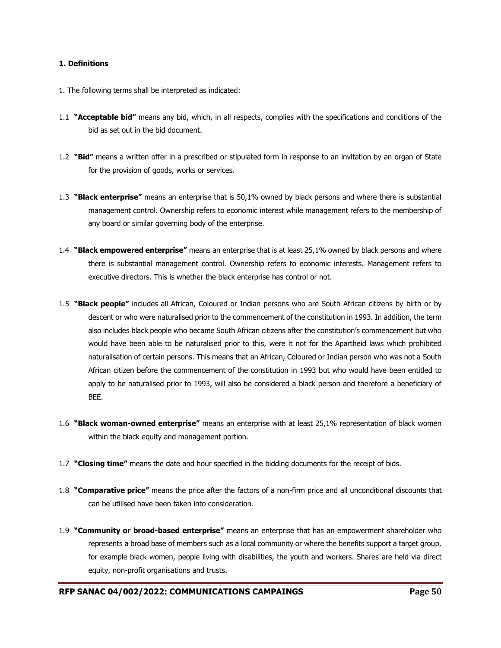#### **1. Definitions**

- 1. The following terms shall be interpreted as indicated:
- 1.1 **"Acceptable bid"** means any bid, which, in all respects, complies with the specifications and conditions of the bid as set out in the bid document.
- 1.2 **"Bid"** means a written offer in a prescribed or stipulated form in response to an invitation by an organ of State for the provision of goods, works or services.
- 1.3 **"Black enterprise"** means an enterprise that is 50,1% owned by black persons and where there is substantial management control. Ownership refers to economic interest while management refers to the membership of any board or similar governing body of the enterprise.
- 1.4 **"Black empowered enterprise"** means an enterprise that is at least 25,1% owned by black persons and where there is substantial management control. Ownership refers to economic interests. Management refers to executive directors. This is whether the black enterprise has control or not.
- 1.5 **"Black people"** includes all African, Coloured or Indian persons who are South African citizens by birth or by descent or who were naturalised prior to the commencement of the constitution in 1993. In addition, the term also includes black people who became South African citizens after the constitution's commencement but who would have been able to be naturalised prior to this, were it not for the Apartheid laws which prohibited naturalisation of certain persons. This means that an African, Coloured or Indian person who was not a South African citizen before the commencement of the constitution in 1993 but who would have been entitled to apply to be naturalised prior to 1993, will also be considered a black person and therefore a beneficiary of BEE.
- 1.6 **"Black woman-owned enterprise"** means an enterprise with at least 25,1% representation of black women within the black equity and management portion.
- 1.7 **"Closing time"** means the date and hour specified in the bidding documents for the receipt of bids.
- 1.8 **"Comparative price"** means the price after the factors of a non-firm price and all unconditional discounts that can be utilised have been taken into consideration.
- 1.9 **"Community or broad-based enterprise"** means an enterprise that has an empowerment shareholder who represents a broad base of members such as a local community or where the benefits support a target group, for example black women, people living with disabilities, the youth and workers. Shares are held via direct equity, non-profit organisations and trusts.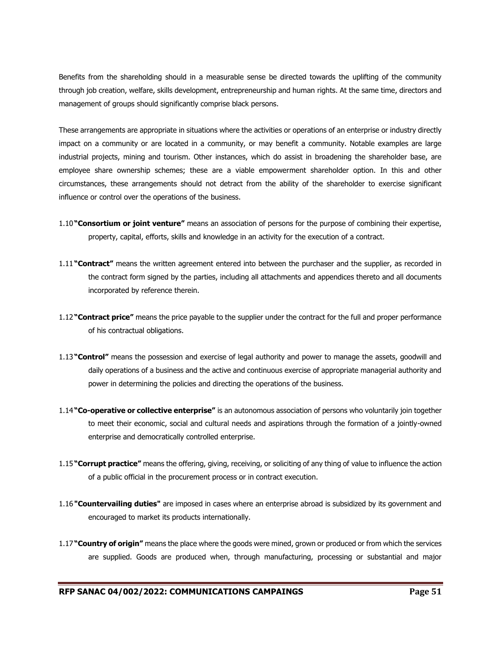Benefits from the shareholding should in a measurable sense be directed towards the uplifting of the community through job creation, welfare, skills development, entrepreneurship and human rights. At the same time, directors and management of groups should significantly comprise black persons.

These arrangements are appropriate in situations where the activities or operations of an enterprise or industry directly impact on a community or are located in a community, or may benefit a community. Notable examples are large industrial projects, mining and tourism. Other instances, which do assist in broadening the shareholder base, are employee share ownership schemes; these are a viable empowerment shareholder option. In this and other circumstances, these arrangements should not detract from the ability of the shareholder to exercise significant influence or control over the operations of the business.

- 1.10**"Consortium or joint venture"** means an association of persons for the purpose of combining their expertise, property, capital, efforts, skills and knowledge in an activity for the execution of a contract.
- 1.11**"Contract"** means the written agreement entered into between the purchaser and the supplier, as recorded in the contract form signed by the parties, including all attachments and appendices thereto and all documents incorporated by reference therein.
- 1.12**"Contract price"** means the price payable to the supplier under the contract for the full and proper performance of his contractual obligations.
- 1.13**"Control"** means the possession and exercise of legal authority and power to manage the assets, goodwill and daily operations of a business and the active and continuous exercise of appropriate managerial authority and power in determining the policies and directing the operations of the business.
- 1.14**"Co-operative or collective enterprise"** is an autonomous association of persons who voluntarily join together to meet their economic, social and cultural needs and aspirations through the formation of a jointly-owned enterprise and democratically controlled enterprise.
- 1.15**"Corrupt practice"** means the offering, giving, receiving, or soliciting of any thing of value to influence the action of a public official in the procurement process or in contract execution.
- 1.16**"Countervailing duties"** are imposed in cases where an enterprise abroad is subsidized by its government and encouraged to market its products internationally.
- 1.17**"Country of origin"** means the place where the goods were mined, grown or produced or from which the services are supplied. Goods are produced when, through manufacturing, processing or substantial and major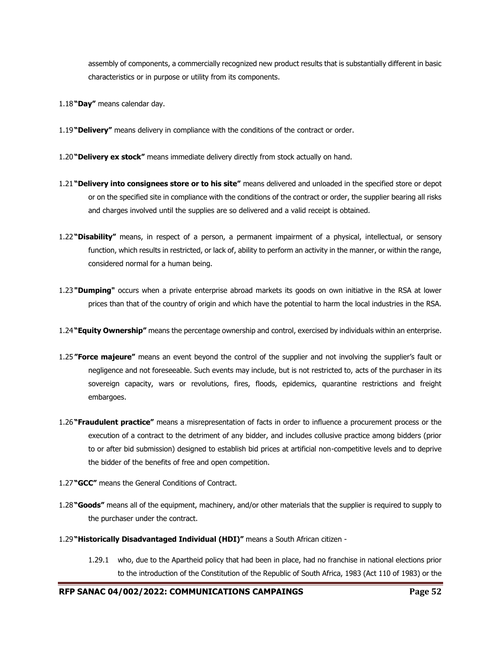assembly of components, a commercially recognized new product results that is substantially different in basic characteristics or in purpose or utility from its components.

- 1.18**"Day"** means calendar day.
- 1.19**"Delivery"** means delivery in compliance with the conditions of the contract or order.
- 1.20**"Delivery ex stock"** means immediate delivery directly from stock actually on hand.
- 1.21**"Delivery into consignees store or to his site"** means delivered and unloaded in the specified store or depot or on the specified site in compliance with the conditions of the contract or order, the supplier bearing all risks and charges involved until the supplies are so delivered and a valid receipt is obtained.
- 1.22**"Disability"** means, in respect of a person, a permanent impairment of a physical, intellectual, or sensory function, which results in restricted, or lack of, ability to perform an activity in the manner, or within the range, considered normal for a human being.
- 1.23**"Dumping"** occurs when a private enterprise abroad markets its goods on own initiative in the RSA at lower prices than that of the country of origin and which have the potential to harm the local industries in the RSA.
- 1.24**"Equity Ownership"** means the percentage ownership and control, exercised by individuals within an enterprise.
- 1.25**"Force majeure"** means an event beyond the control of the supplier and not involving the supplier's fault or negligence and not foreseeable. Such events may include, but is not restricted to, acts of the purchaser in its sovereign capacity, wars or revolutions, fires, floods, epidemics, quarantine restrictions and freight embargoes.
- 1.26**"Fraudulent practice"** means a misrepresentation of facts in order to influence a procurement process or the execution of a contract to the detriment of any bidder, and includes collusive practice among bidders (prior to or after bid submission) designed to establish bid prices at artificial non-competitive levels and to deprive the bidder of the benefits of free and open competition.
- 1.27**"GCC"** means the General Conditions of Contract.
- 1.28**"Goods"** means all of the equipment, machinery, and/or other materials that the supplier is required to supply to the purchaser under the contract.
- 1.29**"Historically Disadvantaged Individual (HDI)"** means a South African citizen
	- 1.29.1 who, due to the Apartheid policy that had been in place, had no franchise in national elections prior to the introduction of the Constitution of the Republic of South Africa, 1983 (Act 110 of 1983) or the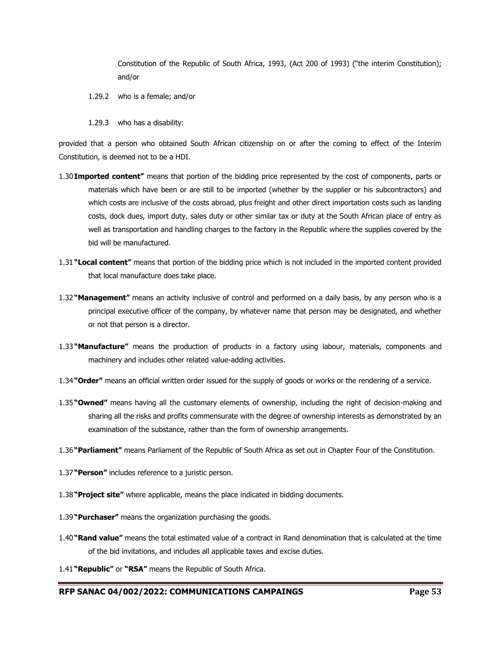Constitution of the Republic of South Africa, 1993, (Act 200 of 1993) ("the interim Constitution); and/or

- 1.29.2 who is a female; and/or
- 1.29.3 who has a disability:

provided that a person who obtained South African citizenship on or after the coming to effect of the Interim Constitution, is deemed not to be a HDI.

- 1.30**Imported content"** means that portion of the bidding price represented by the cost of components, parts or materials which have been or are still to be imported (whether by the supplier or his subcontractors) and which costs are inclusive of the costs abroad, plus freight and other direct importation costs such as landing costs, dock dues, import duty, sales duty or other similar tax or duty at the South African place of entry as well as transportation and handling charges to the factory in the Republic where the supplies covered by the bid will be manufactured.
- 1.31**"Local content"** means that portion of the bidding price which is not included in the imported content provided that local manufacture does take place.
- 1.32**"Management"** means an activity inclusive of control and performed on a daily basis, by any person who is a principal executive officer of the company, by whatever name that person may be designated, and whether or not that person is a director.
- 1.33**"Manufacture"** means the production of products in a factory using labour, materials, components and machinery and includes other related value-adding activities.
- 1.34**"Order"** means an official written order issued for the supply of goods or works or the rendering of a service.
- 1.35**"Owned"** means having all the customary elements of ownership, including the right of decision-making and sharing all the risks and profits commensurate with the degree of ownership interests as demonstrated by an examination of the substance, rather than the form of ownership arrangements.
- 1.36**"Parliament"** means Parliament of the Republic of South Africa as set out in Chapter Four of the Constitution.
- 1.37**"Person"** includes reference to a juristic person.
- 1.38**"Project site"** where applicable, means the place indicated in bidding documents.
- 1.39**"Purchaser"** means the organization purchasing the goods.
- 1.40**"Rand value"** means the total estimated value of a contract in Rand denomination that is calculated at the time of the bid invitations, and includes all applicable taxes and excise duties.
- 1.41**"Republic"** or **"RSA"** means the Republic of South Africa.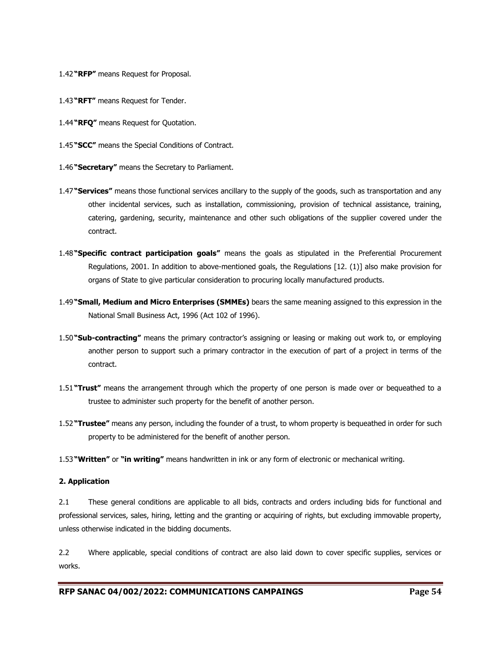- 1.42**"RFP"** means Request for Proposal.
- 1.43**"RFT"** means Request for Tender.
- 1.44**"RFQ"** means Request for Quotation.
- 1.45**"SCC"** means the Special Conditions of Contract.
- 1.46**"Secretary"** means the Secretary to Parliament.
- 1.47**"Services"** means those functional services ancillary to the supply of the goods, such as transportation and any other incidental services, such as installation, commissioning, provision of technical assistance, training, catering, gardening, security, maintenance and other such obligations of the supplier covered under the contract.
- 1.48**"Specific contract participation goals"** means the goals as stipulated in the Preferential Procurement Regulations, 2001. In addition to above-mentioned goals, the Regulations [12. (1)] also make provision for organs of State to give particular consideration to procuring locally manufactured products.
- 1.49**"Small, Medium and Micro Enterprises (SMMEs)** bears the same meaning assigned to this expression in the National Small Business Act, 1996 (Act 102 of 1996).
- 1.50**"Sub-contracting"** means the primary contractor's assigning or leasing or making out work to, or employing another person to support such a primary contractor in the execution of part of a project in terms of the contract.
- 1.51**"Trust"** means the arrangement through which the property of one person is made over or bequeathed to a trustee to administer such property for the benefit of another person.
- 1.52**"Trustee"** means any person, including the founder of a trust, to whom property is bequeathed in order for such property to be administered for the benefit of another person.
- 1.53**"Written"** or **"in writing"** means handwritten in ink or any form of electronic or mechanical writing.

#### **2. Application**

2.1 These general conditions are applicable to all bids, contracts and orders including bids for functional and professional services, sales, hiring, letting and the granting or acquiring of rights, but excluding immovable property, unless otherwise indicated in the bidding documents.

2.2 Where applicable, special conditions of contract are also laid down to cover specific supplies, services or works.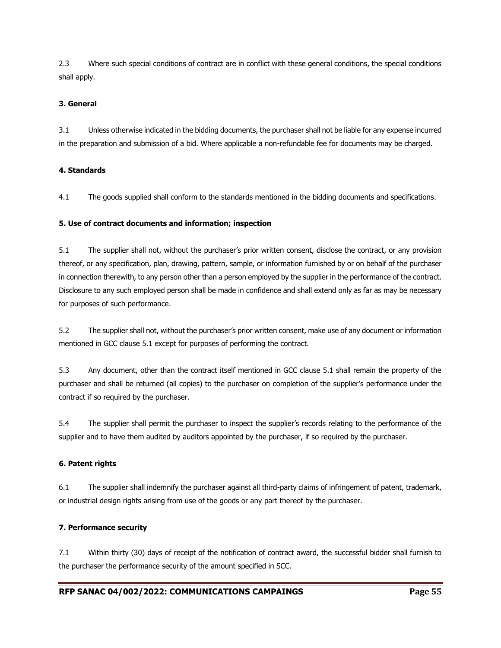2.3 Where such special conditions of contract are in conflict with these general conditions, the special conditions shall apply.

#### **3. General**

3.1 Unless otherwise indicated in the bidding documents, the purchaser shall not be liable for any expense incurred in the preparation and submission of a bid. Where applicable a non-refundable fee for documents may be charged.

#### **4. Standards**

4.1 The goods supplied shall conform to the standards mentioned in the bidding documents and specifications.

#### **5. Use of contract documents and information; inspection**

5.1 The supplier shall not, without the purchaser's prior written consent, disclose the contract, or any provision thereof, or any specification, plan, drawing, pattern, sample, or information furnished by or on behalf of the purchaser in connection therewith, to any person other than a person employed by the supplier in the performance of the contract. Disclosure to any such employed person shall be made in confidence and shall extend only as far as may be necessary for purposes of such performance.

5.2 The supplier shall not, without the purchaser's prior written consent, make use of any document or information mentioned in GCC clause 5.1 except for purposes of performing the contract.

5.3 Any document, other than the contract itself mentioned in GCC clause 5.1 shall remain the property of the purchaser and shall be returned (all copies) to the purchaser on completion of the supplier's performance under the contract if so required by the purchaser.

5.4 The supplier shall permit the purchaser to inspect the supplier's records relating to the performance of the supplier and to have them audited by auditors appointed by the purchaser, if so required by the purchaser.

#### **6. Patent rights**

6.1 The supplier shall indemnify the purchaser against all third-party claims of infringement of patent, trademark, or industrial design rights arising from use of the goods or any part thereof by the purchaser.

#### **7. Performance security**

7.1 Within thirty (30) days of receipt of the notification of contract award, the successful bidder shall furnish to the purchaser the performance security of the amount specified in SCC.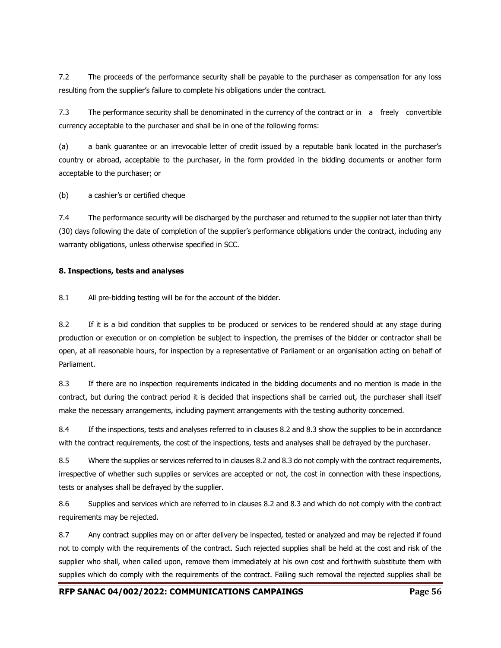7.2 The proceeds of the performance security shall be payable to the purchaser as compensation for any loss resulting from the supplier's failure to complete his obligations under the contract.

7.3 The performance security shall be denominated in the currency of the contract or in a freely convertible currency acceptable to the purchaser and shall be in one of the following forms:

(a) a bank guarantee or an irrevocable letter of credit issued by a reputable bank located in the purchaser's country or abroad, acceptable to the purchaser, in the form provided in the bidding documents or another form acceptable to the purchaser; or

(b) a cashier's or certified cheque

7.4 The performance security will be discharged by the purchaser and returned to the supplier not later than thirty (30) days following the date of completion of the supplier's performance obligations under the contract, including any warranty obligations, unless otherwise specified in SCC.

#### **8. Inspections, tests and analyses**

8.1 All pre-bidding testing will be for the account of the bidder.

8.2 If it is a bid condition that supplies to be produced or services to be rendered should at any stage during production or execution or on completion be subject to inspection, the premises of the bidder or contractor shall be open, at all reasonable hours, for inspection by a representative of Parliament or an organisation acting on behalf of Parliament.

8.3 If there are no inspection requirements indicated in the bidding documents and no mention is made in the contract, but during the contract period it is decided that inspections shall be carried out, the purchaser shall itself make the necessary arrangements, including payment arrangements with the testing authority concerned.

8.4 If the inspections, tests and analyses referred to in clauses 8.2 and 8.3 show the supplies to be in accordance with the contract requirements, the cost of the inspections, tests and analyses shall be defrayed by the purchaser.

8.5 Where the supplies or services referred to in clauses 8.2 and 8.3 do not comply with the contract requirements, irrespective of whether such supplies or services are accepted or not, the cost in connection with these inspections, tests or analyses shall be defrayed by the supplier.

8.6 Supplies and services which are referred to in clauses 8.2 and 8.3 and which do not comply with the contract requirements may be rejected.

8.7 Any contract supplies may on or after delivery be inspected, tested or analyzed and may be rejected if found not to comply with the requirements of the contract. Such rejected supplies shall be held at the cost and risk of the supplier who shall, when called upon, remove them immediately at his own cost and forthwith substitute them with supplies which do comply with the requirements of the contract. Failing such removal the rejected supplies shall be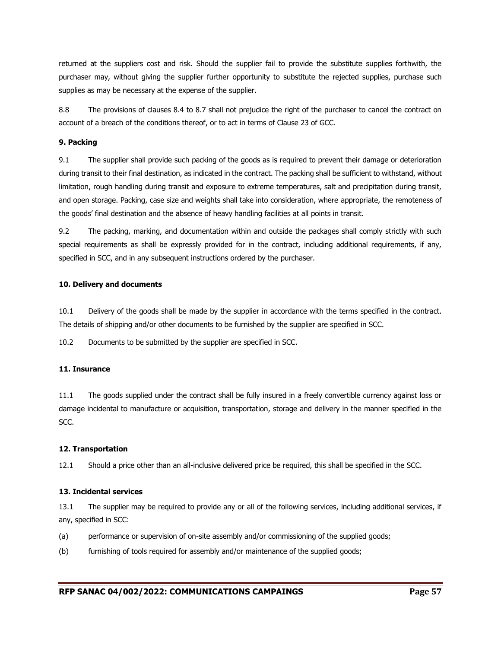returned at the suppliers cost and risk. Should the supplier fail to provide the substitute supplies forthwith, the purchaser may, without giving the supplier further opportunity to substitute the rejected supplies, purchase such supplies as may be necessary at the expense of the supplier.

8.8 The provisions of clauses 8.4 to 8.7 shall not prejudice the right of the purchaser to cancel the contract on account of a breach of the conditions thereof, or to act in terms of Clause 23 of GCC.

#### **9. Packing**

9.1 The supplier shall provide such packing of the goods as is required to prevent their damage or deterioration during transit to their final destination, as indicated in the contract. The packing shall be sufficient to withstand, without limitation, rough handling during transit and exposure to extreme temperatures, salt and precipitation during transit, and open storage. Packing, case size and weights shall take into consideration, where appropriate, the remoteness of the goods' final destination and the absence of heavy handling facilities at all points in transit.

9.2 The packing, marking, and documentation within and outside the packages shall comply strictly with such special requirements as shall be expressly provided for in the contract, including additional requirements, if any, specified in SCC, and in any subsequent instructions ordered by the purchaser.

#### **10. Delivery and documents**

10.1 Delivery of the goods shall be made by the supplier in accordance with the terms specified in the contract. The details of shipping and/or other documents to be furnished by the supplier are specified in SCC.

10.2 Documents to be submitted by the supplier are specified in SCC.

#### **11. Insurance**

11.1 The goods supplied under the contract shall be fully insured in a freely convertible currency against loss or damage incidental to manufacture or acquisition, transportation, storage and delivery in the manner specified in the SCC.

#### **12. Transportation**

12.1 Should a price other than an all-inclusive delivered price be required, this shall be specified in the SCC.

#### **13. Incidental services**

13.1 The supplier may be required to provide any or all of the following services, including additional services, if any, specified in SCC:

- (a) performance or supervision of on-site assembly and/or commissioning of the supplied goods;
- (b) furnishing of tools required for assembly and/or maintenance of the supplied goods;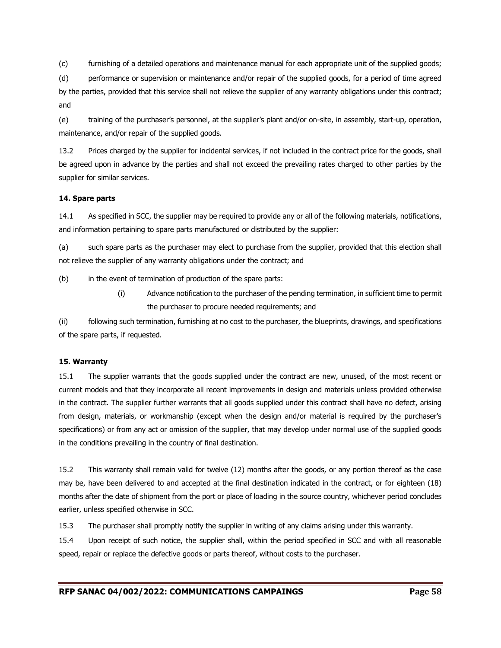(c) furnishing of a detailed operations and maintenance manual for each appropriate unit of the supplied goods;

(d) performance or supervision or maintenance and/or repair of the supplied goods, for a period of time agreed by the parties, provided that this service shall not relieve the supplier of any warranty obligations under this contract; and

(e) training of the purchaser's personnel, at the supplier's plant and/or on-site, in assembly, start-up, operation, maintenance, and/or repair of the supplied goods.

13.2 Prices charged by the supplier for incidental services, if not included in the contract price for the goods, shall be agreed upon in advance by the parties and shall not exceed the prevailing rates charged to other parties by the supplier for similar services.

#### **14. Spare parts**

14.1 As specified in SCC, the supplier may be required to provide any or all of the following materials, notifications, and information pertaining to spare parts manufactured or distributed by the supplier:

(a) such spare parts as the purchaser may elect to purchase from the supplier, provided that this election shall not relieve the supplier of any warranty obligations under the contract; and

(b) in the event of termination of production of the spare parts:

(i) Advance notification to the purchaser of the pending termination, in sufficient time to permit the purchaser to procure needed requirements; and

(ii) following such termination, furnishing at no cost to the purchaser, the blueprints, drawings, and specifications of the spare parts, if requested.

#### **15. Warranty**

15.1 The supplier warrants that the goods supplied under the contract are new, unused, of the most recent or current models and that they incorporate all recent improvements in design and materials unless provided otherwise in the contract. The supplier further warrants that all goods supplied under this contract shall have no defect, arising from design, materials, or workmanship (except when the design and/or material is required by the purchaser's specifications) or from any act or omission of the supplier, that may develop under normal use of the supplied goods in the conditions prevailing in the country of final destination.

15.2 This warranty shall remain valid for twelve (12) months after the goods, or any portion thereof as the case may be, have been delivered to and accepted at the final destination indicated in the contract, or for eighteen (18) months after the date of shipment from the port or place of loading in the source country, whichever period concludes earlier, unless specified otherwise in SCC.

15.3 The purchaser shall promptly notify the supplier in writing of any claims arising under this warranty.

15.4 Upon receipt of such notice, the supplier shall, within the period specified in SCC and with all reasonable speed, repair or replace the defective goods or parts thereof, without costs to the purchaser.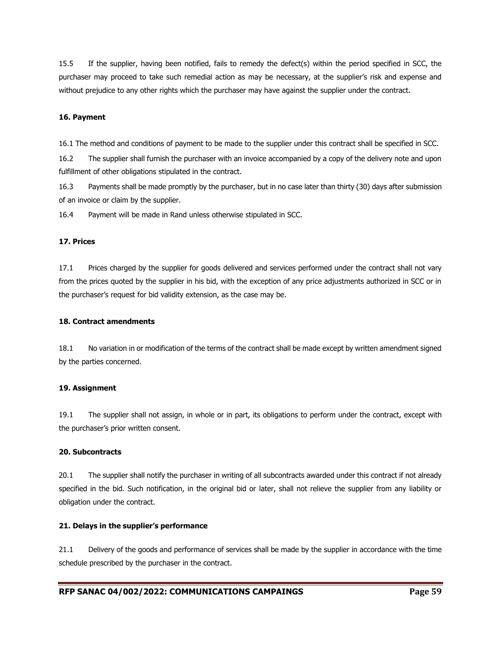15.5 If the supplier, having been notified, fails to remedy the defect(s) within the period specified in SCC, the purchaser may proceed to take such remedial action as may be necessary, at the supplier's risk and expense and without prejudice to any other rights which the purchaser may have against the supplier under the contract.

#### **16. Payment**

16.1 The method and conditions of payment to be made to the supplier under this contract shall be specified in SCC.

16.2 The supplier shall furnish the purchaser with an invoice accompanied by a copy of the delivery note and upon fulfillment of other obligations stipulated in the contract.

16.3 Payments shall be made promptly by the purchaser, but in no case later than thirty (30) days after submission of an invoice or claim by the supplier.

16.4 Payment will be made in Rand unless otherwise stipulated in SCC.

#### **17. Prices**

17.1 Prices charged by the supplier for goods delivered and services performed under the contract shall not vary from the prices quoted by the supplier in his bid, with the exception of any price adjustments authorized in SCC or in the purchaser's request for bid validity extension, as the case may be.

#### **18. Contract amendments**

18.1 No variation in or modification of the terms of the contract shall be made except by written amendment signed by the parties concerned.

#### **19. Assignment**

19.1 The supplier shall not assign, in whole or in part, its obligations to perform under the contract, except with the purchaser's prior written consent.

#### **20. Subcontracts**

20.1 The supplier shall notify the purchaser in writing of all subcontracts awarded under this contract if not already specified in the bid. Such notification, in the original bid or later, shall not relieve the supplier from any liability or obligation under the contract.

#### **21. Delays in the supplier's performance**

21.1 Delivery of the goods and performance of services shall be made by the supplier in accordance with the time schedule prescribed by the purchaser in the contract.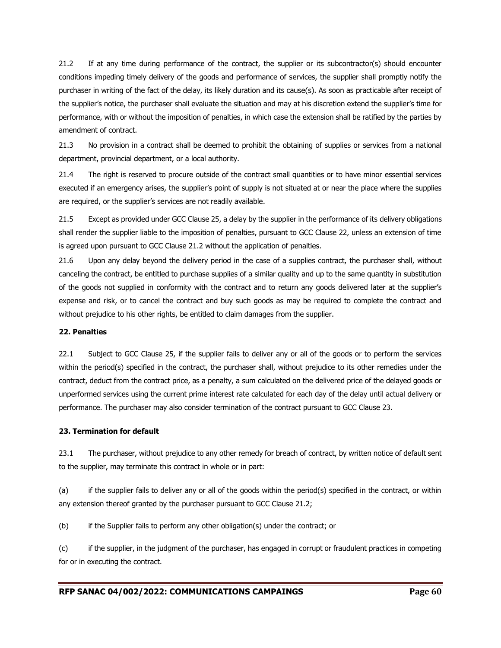21.2 If at any time during performance of the contract, the supplier or its subcontractor(s) should encounter conditions impeding timely delivery of the goods and performance of services, the supplier shall promptly notify the purchaser in writing of the fact of the delay, its likely duration and its cause(s). As soon as practicable after receipt of the supplier's notice, the purchaser shall evaluate the situation and may at his discretion extend the supplier's time for performance, with or without the imposition of penalties, in which case the extension shall be ratified by the parties by amendment of contract.

21.3 No provision in a contract shall be deemed to prohibit the obtaining of supplies or services from a national department, provincial department, or a local authority.

21.4 The right is reserved to procure outside of the contract small quantities or to have minor essential services executed if an emergency arises, the supplier's point of supply is not situated at or near the place where the supplies are required, or the supplier's services are not readily available.

21.5 Except as provided under GCC Clause 25, a delay by the supplier in the performance of its delivery obligations shall render the supplier liable to the imposition of penalties, pursuant to GCC Clause 22, unless an extension of time is agreed upon pursuant to GCC Clause 21.2 without the application of penalties.

21.6 Upon any delay beyond the delivery period in the case of a supplies contract, the purchaser shall, without canceling the contract, be entitled to purchase supplies of a similar quality and up to the same quantity in substitution of the goods not supplied in conformity with the contract and to return any goods delivered later at the supplier's expense and risk, or to cancel the contract and buy such goods as may be required to complete the contract and without prejudice to his other rights, be entitled to claim damages from the supplier.

#### **22. Penalties**

22.1 Subject to GCC Clause 25, if the supplier fails to deliver any or all of the goods or to perform the services within the period(s) specified in the contract, the purchaser shall, without prejudice to its other remedies under the contract, deduct from the contract price, as a penalty, a sum calculated on the delivered price of the delayed goods or unperformed services using the current prime interest rate calculated for each day of the delay until actual delivery or performance. The purchaser may also consider termination of the contract pursuant to GCC Clause 23.

#### **23. Termination for default**

23.1 The purchaser, without prejudice to any other remedy for breach of contract, by written notice of default sent to the supplier, may terminate this contract in whole or in part:

(a) if the supplier fails to deliver any or all of the goods within the period(s) specified in the contract, or within any extension thereof granted by the purchaser pursuant to GCC Clause 21.2;

(b) if the Supplier fails to perform any other obligation(s) under the contract; or

(c) if the supplier, in the judgment of the purchaser, has engaged in corrupt or fraudulent practices in competing for or in executing the contract.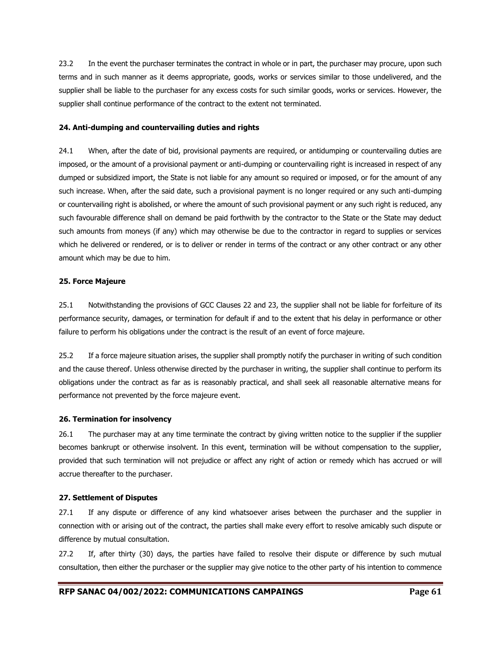23.2 In the event the purchaser terminates the contract in whole or in part, the purchaser may procure, upon such terms and in such manner as it deems appropriate, goods, works or services similar to those undelivered, and the supplier shall be liable to the purchaser for any excess costs for such similar goods, works or services. However, the supplier shall continue performance of the contract to the extent not terminated.

#### **24. Anti-dumping and countervailing duties and rights**

24.1 When, after the date of bid, provisional payments are required, or antidumping or countervailing duties are imposed, or the amount of a provisional payment or anti-dumping or countervailing right is increased in respect of any dumped or subsidized import, the State is not liable for any amount so required or imposed, or for the amount of any such increase. When, after the said date, such a provisional payment is no longer required or any such anti-dumping or countervailing right is abolished, or where the amount of such provisional payment or any such right is reduced, any such favourable difference shall on demand be paid forthwith by the contractor to the State or the State may deduct such amounts from moneys (if any) which may otherwise be due to the contractor in regard to supplies or services which he delivered or rendered, or is to deliver or render in terms of the contract or any other contract or any other amount which may be due to him.

#### **25. Force Majeure**

25.1 Notwithstanding the provisions of GCC Clauses 22 and 23, the supplier shall not be liable for forfeiture of its performance security, damages, or termination for default if and to the extent that his delay in performance or other failure to perform his obligations under the contract is the result of an event of force majeure.

25.2 If a force majeure situation arises, the supplier shall promptly notify the purchaser in writing of such condition and the cause thereof. Unless otherwise directed by the purchaser in writing, the supplier shall continue to perform its obligations under the contract as far as is reasonably practical, and shall seek all reasonable alternative means for performance not prevented by the force majeure event.

#### **26. Termination for insolvency**

26.1 The purchaser may at any time terminate the contract by giving written notice to the supplier if the supplier becomes bankrupt or otherwise insolvent. In this event, termination will be without compensation to the supplier, provided that such termination will not prejudice or affect any right of action or remedy which has accrued or will accrue thereafter to the purchaser.

#### **27. Settlement of Disputes**

27.1 If any dispute or difference of any kind whatsoever arises between the purchaser and the supplier in connection with or arising out of the contract, the parties shall make every effort to resolve amicably such dispute or difference by mutual consultation.

27.2 If, after thirty (30) days, the parties have failed to resolve their dispute or difference by such mutual consultation, then either the purchaser or the supplier may give notice to the other party of his intention to commence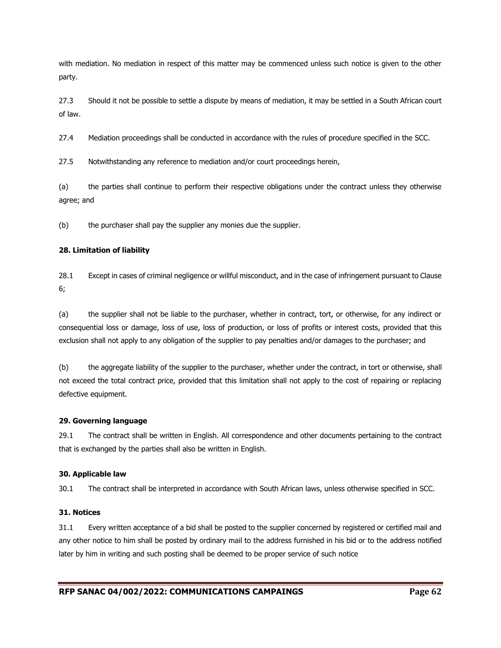with mediation. No mediation in respect of this matter may be commenced unless such notice is given to the other party.

27.3 Should it not be possible to settle a dispute by means of mediation, it may be settled in a South African court of law.

27.4 Mediation proceedings shall be conducted in accordance with the rules of procedure specified in the SCC.

27.5 Notwithstanding any reference to mediation and/or court proceedings herein,

(a) the parties shall continue to perform their respective obligations under the contract unless they otherwise agree; and

(b) the purchaser shall pay the supplier any monies due the supplier.

#### **28. Limitation of liability**

28.1 Except in cases of criminal negligence or willful misconduct, and in the case of infringement pursuant to Clause 6;

(a) the supplier shall not be liable to the purchaser, whether in contract, tort, or otherwise, for any indirect or consequential loss or damage, loss of use, loss of production, or loss of profits or interest costs, provided that this exclusion shall not apply to any obligation of the supplier to pay penalties and/or damages to the purchaser; and

(b) the aggregate liability of the supplier to the purchaser, whether under the contract, in tort or otherwise, shall not exceed the total contract price, provided that this limitation shall not apply to the cost of repairing or replacing defective equipment.

#### **29. Governing language**

29.1 The contract shall be written in English. All correspondence and other documents pertaining to the contract that is exchanged by the parties shall also be written in English.

#### **30. Applicable law**

30.1 The contract shall be interpreted in accordance with South African laws, unless otherwise specified in SCC.

#### **31. Notices**

31.1 Every written acceptance of a bid shall be posted to the supplier concerned by registered or certified mail and any other notice to him shall be posted by ordinary mail to the address furnished in his bid or to the address notified later by him in writing and such posting shall be deemed to be proper service of such notice